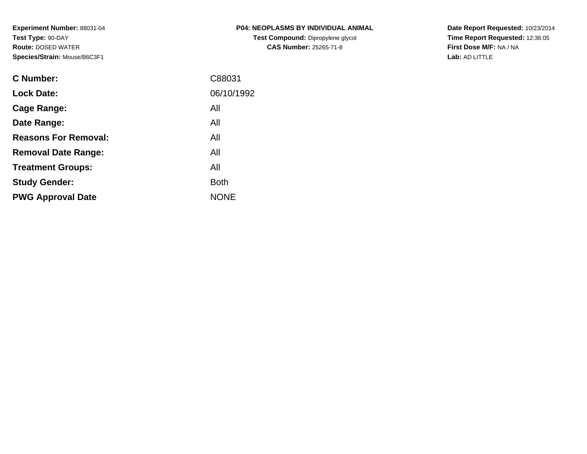**Experiment Number:** 88031-04**Test Type:** 90-DAY **Route:** DOSED WATER**Species/Strain:** Mouse/B6C3F1

| <b>P04: NEOPLASMS BY INDIVIDUAL ANIMAL</b> |
|--------------------------------------------|
| <b>Test Compound: Dipropylene glycol</b>   |
| <b>CAS Number: 25265-71-8</b>              |

**Date Report Requested:** 10/23/2014 **Time Report Requested:** 12:36:05**First Dose M/F:** NA / NA**Lab:** AD LITTLE

| <b>C</b> Number:            | C88031      |
|-----------------------------|-------------|
| <b>Lock Date:</b>           | 06/10/1992  |
| Cage Range:                 | All         |
| Date Range:                 | All         |
| <b>Reasons For Removal:</b> | All         |
| <b>Removal Date Range:</b>  | All         |
| <b>Treatment Groups:</b>    | All         |
| <b>Study Gender:</b>        | <b>Both</b> |
| <b>PWG Approval Date</b>    | <b>NONE</b> |
|                             |             |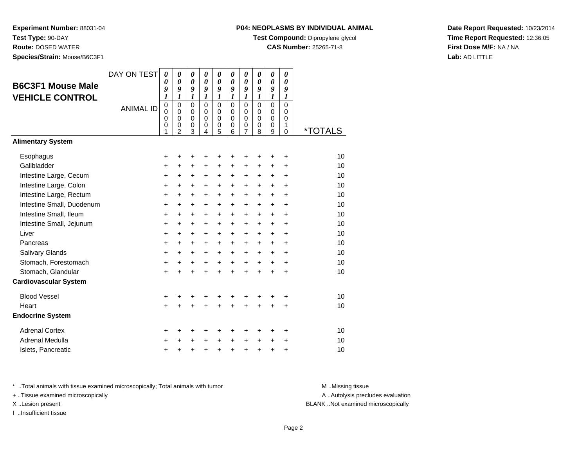**Experiment Number:** 88031-04**Test Type:** 90-DAY

**Route:** DOSED WATER

**Species/Strain:** Mouse/B6C3F1

#### **P04: NEOPLASMS BY INDIVIDUAL ANIMAL**

**Test Compound:** Dipropylene glycol

**CAS Number:** 25265-71-8

**Date Report Requested:** 10/23/2014**Time Report Requested:** 12:36:05**First Dose M/F:** NA / NA**Lab:** AD LITTLE

| <b>B6C3F1 Mouse Male</b><br><b>VEHICLE CONTROL</b>   | DAY ON TEST<br><b>ANIMAL ID</b> | $\boldsymbol{\theta}$<br>0<br>9<br>1<br>$\pmb{0}$<br>$\mathbf 0$<br>$\mathbf 0$<br>$\mathbf 0$ | $\boldsymbol{\theta}$<br>$\boldsymbol{\theta}$<br>9<br>1<br>$\mathbf 0$<br>$\Omega$<br>$\mathbf 0$<br>$\mathbf 0$ | 0<br>$\boldsymbol{\theta}$<br>9<br>1<br>$\mathbf 0$<br>$\mathbf 0$<br>$\mathbf 0$<br>$\,0\,$ | 0<br>0<br>9<br>1<br>$\Omega$<br>$\Omega$<br>$\mathbf 0$<br>0 | 0<br>$\boldsymbol{\theta}$<br>9<br>1<br>$\mathbf 0$<br>$\Omega$<br>0<br>$\pmb{0}$ | $\boldsymbol{\theta}$<br>$\boldsymbol{\theta}$<br>9<br>1<br>$\Omega$<br>$\Omega$<br>$\mathbf 0$<br>0 | 0<br>0<br>9<br>1<br>$\mathbf 0$<br>0<br>0<br>0 | 0<br>0<br>9<br>1<br>$\Omega$<br>$\Omega$<br>$\mathbf 0$<br>0 | $\boldsymbol{\theta}$<br>$\boldsymbol{\theta}$<br>9<br>1<br>$\mathbf 0$<br>$\mathbf 0$<br>$\mathbf 0$<br>0 | $\boldsymbol{\theta}$<br>0<br>9<br>$\boldsymbol{l}$<br>$\mathbf 0$<br>0<br>$\mathbf 0$<br>1 |                       |
|------------------------------------------------------|---------------------------------|------------------------------------------------------------------------------------------------|-------------------------------------------------------------------------------------------------------------------|----------------------------------------------------------------------------------------------|--------------------------------------------------------------|-----------------------------------------------------------------------------------|------------------------------------------------------------------------------------------------------|------------------------------------------------|--------------------------------------------------------------|------------------------------------------------------------------------------------------------------------|---------------------------------------------------------------------------------------------|-----------------------|
| <b>Alimentary System</b>                             |                                 | 1                                                                                              | $\mathfrak{p}$                                                                                                    | 3                                                                                            | 4                                                            | 5                                                                                 | 6                                                                                                    | $\overline{7}$                                 | 8                                                            | 9                                                                                                          | $\Omega$                                                                                    | <i><b>*TOTALS</b></i> |
|                                                      |                                 |                                                                                                |                                                                                                                   |                                                                                              |                                                              |                                                                                   |                                                                                                      |                                                |                                                              |                                                                                                            |                                                                                             |                       |
| Esophagus                                            |                                 | +                                                                                              | +                                                                                                                 | +                                                                                            | +                                                            | +                                                                                 | +                                                                                                    | +                                              | +                                                            | +                                                                                                          | +                                                                                           | 10                    |
| Gallbladder                                          |                                 | +                                                                                              | +                                                                                                                 | $\ddot{}$                                                                                    | +                                                            | +                                                                                 | +                                                                                                    | +                                              | +                                                            | +                                                                                                          | $\ddot{}$                                                                                   | 10                    |
| Intestine Large, Cecum                               |                                 | +                                                                                              | $\ddot{}$                                                                                                         | $\ddot{}$                                                                                    | $\ddot{}$                                                    | +                                                                                 | $\ddot{}$                                                                                            | $\ddot{}$                                      | $\ddot{}$                                                    | $\ddot{}$                                                                                                  | $\ddot{}$                                                                                   | 10                    |
| Intestine Large, Colon                               |                                 | +                                                                                              | +                                                                                                                 | +                                                                                            | $\ddot{}$                                                    | $\ddot{}$                                                                         | $\ddot{}$                                                                                            | $\ddot{}$                                      | $\ddot{}$                                                    | +                                                                                                          | $\ddot{}$                                                                                   | 10                    |
| Intestine Large, Rectum<br>Intestine Small, Duodenum |                                 | +                                                                                              | $\ddot{}$                                                                                                         | $\ddot{}$                                                                                    | $\ddot{}$                                                    | $\ddot{}$                                                                         | $\ddot{}$                                                                                            | $\ddot{}$                                      | $\ddot{}$                                                    | $\ddot{}$                                                                                                  | $\ddot{}$                                                                                   | 10<br>10              |
| Intestine Small, Ileum                               |                                 | +                                                                                              | $\ddot{}$                                                                                                         | $\ddot{}$                                                                                    | $\ddot{}$                                                    | $\ddot{}$                                                                         | $\ddot{}$                                                                                            | $\ddot{}$                                      | $\ddot{}$                                                    | $\ddot{}$                                                                                                  | $\ddot{}$<br>$\ddot{}$                                                                      | 10                    |
| Intestine Small, Jejunum                             |                                 | +<br>+                                                                                         | $\ddot{}$<br>$\ddot{}$                                                                                            | $\ddot{}$<br>$\ddot{}$                                                                       | $\ddot{}$<br>$\ddot{}$                                       | +<br>+                                                                            | $\ddot{}$<br>$\ddot{}$                                                                               | $\ddot{}$<br>$\ddot{}$                         | +<br>$\ddot{}$                                               | $\ddot{}$<br>$\ddot{}$                                                                                     | $\ddot{}$                                                                                   | 10                    |
| Liver                                                |                                 | $\ddot{}$                                                                                      | $\ddot{}$                                                                                                         | $\ddot{}$                                                                                    | $+$                                                          | $\ddot{}$                                                                         | $+$                                                                                                  | $+$                                            | $\ddot{}$                                                    | $+$                                                                                                        | $\ddot{}$                                                                                   | 10                    |
| Pancreas                                             |                                 | +                                                                                              | +                                                                                                                 | +                                                                                            | +                                                            | +                                                                                 | $\ddot{}$                                                                                            | $\ddot{}$                                      | +                                                            | +                                                                                                          | $\ddot{}$                                                                                   | 10                    |
| Salivary Glands                                      |                                 | +                                                                                              | $\ddot{}$                                                                                                         | $\ddot{}$                                                                                    | $\ddot{}$                                                    | $\ddot{}$                                                                         | $\ddot{}$                                                                                            | $\ddot{}$                                      | $\ddot{}$                                                    | $\ddot{}$                                                                                                  | $\ddot{}$                                                                                   | 10                    |
| Stomach, Forestomach                                 |                                 | +                                                                                              | $\ddot{}$                                                                                                         | $\ddot{}$                                                                                    | $+$                                                          | $\ddot{}$                                                                         | $+$                                                                                                  | $+$                                            | $+$                                                          | $\ddot{}$                                                                                                  | $+$                                                                                         | 10                    |
| Stomach, Glandular                                   |                                 | $\ddot{}$                                                                                      |                                                                                                                   | $\ddot{}$                                                                                    | $\ddot{}$                                                    | $\ddot{}$                                                                         | $\ddot{}$                                                                                            | $\ddot{}$                                      | $\ddot{}$                                                    | $\ddot{}$                                                                                                  | $\ddot{}$                                                                                   | 10                    |
| <b>Cardiovascular System</b>                         |                                 |                                                                                                |                                                                                                                   |                                                                                              |                                                              |                                                                                   |                                                                                                      |                                                |                                                              |                                                                                                            |                                                                                             |                       |
| <b>Blood Vessel</b>                                  |                                 | +                                                                                              | +                                                                                                                 | +                                                                                            | +                                                            | +                                                                                 | +                                                                                                    | +                                              | +                                                            |                                                                                                            | +                                                                                           | 10                    |
| Heart                                                |                                 | $\ddot{}$                                                                                      |                                                                                                                   | ÷                                                                                            |                                                              | $\ddot{}$                                                                         |                                                                                                      | ÷                                              | $\ddot{}$                                                    | $\ddot{}$                                                                                                  | $\ddot{}$                                                                                   | 10                    |
| <b>Endocrine System</b>                              |                                 |                                                                                                |                                                                                                                   |                                                                                              |                                                              |                                                                                   |                                                                                                      |                                                |                                                              |                                                                                                            |                                                                                             |                       |
| <b>Adrenal Cortex</b>                                |                                 | +                                                                                              | ٠                                                                                                                 | +                                                                                            | ٠                                                            | +                                                                                 | ÷                                                                                                    | ÷                                              | ÷                                                            | ÷                                                                                                          | $\ddot{}$                                                                                   | 10                    |
| <b>Adrenal Medulla</b>                               |                                 | $\ddot{}$                                                                                      |                                                                                                                   | +                                                                                            | $\ddot{}$                                                    | $\ddot{}$                                                                         | $\ddot{}$                                                                                            | $\ddot{}$                                      | $\ddot{}$                                                    | $\ddot{}$                                                                                                  | $\ddot{}$                                                                                   | 10                    |
| Islets, Pancreatic                                   |                                 | +                                                                                              |                                                                                                                   | +                                                                                            | +                                                            | +                                                                                 | $\ddot{}$                                                                                            | +                                              | +                                                            | +                                                                                                          | +                                                                                           | 10                    |

\* ..Total animals with tissue examined microscopically; Total animals with tumor **M** . Missing tissue M ..Missing tissue

+ ..Tissue examined microscopically

I ..Insufficient tissue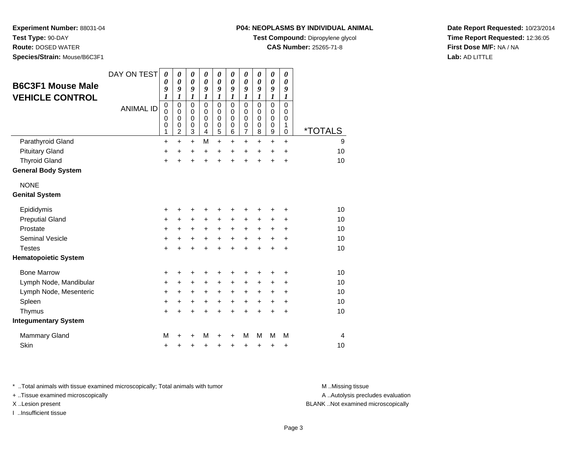**Experiment Number:** 88031-04**Test Type:** 90-DAY

**Route:** DOSED WATER

**Species/Strain:** Mouse/B6C3F1

#### **P04: NEOPLASMS BY INDIVIDUAL ANIMAL**

**Test Compound:** Dipropylene glycol

**CAS Number:** 25265-71-8

**Date Report Requested:** 10/23/2014**Time Report Requested:** 12:36:05**First Dose M/F:** NA / NA**Lab:** AD LITTLE

| <b>B6C3F1 Mouse Male</b><br><b>VEHICLE CONTROL</b> | DAY ON TEST      | 0<br>0<br>9<br>$\boldsymbol{l}$ | 0<br>$\boldsymbol{\theta}$<br>9<br>$\boldsymbol{l}$              | $\pmb{\theta}$<br>$\boldsymbol{\theta}$<br>9<br>$\boldsymbol{l}$ | 0<br>$\boldsymbol{\theta}$<br>9<br>$\boldsymbol{l}$ | $\pmb{\theta}$<br>$\boldsymbol{\theta}$<br>9<br>$\boldsymbol{l}$   | 0<br>$\boldsymbol{\theta}$<br>9<br>1          | $\boldsymbol{\theta}$<br>$\boldsymbol{\theta}$<br>9<br>$\boldsymbol{l}$ | $\pmb{\theta}$<br>0<br>9<br>1                       | $\pmb{\theta}$<br>$\boldsymbol{\theta}$<br>9<br>$\boldsymbol{l}$ | 0<br>0<br>9<br>$\boldsymbol{l}$ |                       |
|----------------------------------------------------|------------------|---------------------------------|------------------------------------------------------------------|------------------------------------------------------------------|-----------------------------------------------------|--------------------------------------------------------------------|-----------------------------------------------|-------------------------------------------------------------------------|-----------------------------------------------------|------------------------------------------------------------------|---------------------------------|-----------------------|
|                                                    | <b>ANIMAL ID</b> | $\mathbf 0$<br>0<br>0<br>0<br>1 | $\mathbf 0$<br>$\mathbf 0$<br>$\mathbf 0$<br>0<br>$\overline{c}$ | $\Omega$<br>$\mathbf 0$<br>$\mathbf 0$<br>$\boldsymbol{0}$<br>3  | $\Omega$<br>$\mathbf 0$<br>$\Omega$<br>0<br>4       | $\mathbf 0$<br>$\mathbf 0$<br>$\mathbf 0$<br>$\boldsymbol{0}$<br>5 | $\Omega$<br>$\mathbf 0$<br>$\Omega$<br>0<br>6 | $\mathbf 0$<br>$\pmb{0}$<br>$\pmb{0}$<br>$\pmb{0}$<br>$\overline{7}$    | $\mathbf 0$<br>$\mathbf 0$<br>$\mathbf 0$<br>0<br>8 | $\mathbf 0$<br>0<br>$\mathbf 0$<br>0<br>9                        | 0<br>0<br>0<br>1<br>0           | <i><b>*TOTALS</b></i> |
| Parathyroid Gland                                  |                  | $\ddot{}$                       | $\ddot{}$                                                        | $\ddot{}$                                                        | M                                                   | $\ddot{}$                                                          | $\ddot{}$                                     | $+$                                                                     | $\ddot{}$                                           | $\ddot{}$                                                        | $+$                             | 9                     |
| <b>Pituitary Gland</b>                             |                  | +                               | $\ddot{}$                                                        | +                                                                | $\ddot{}$                                           | +                                                                  | $\ddot{}$                                     | $\pm$                                                                   | $\ddot{}$                                           | $\ddot{}$                                                        | $\ddot{}$                       | 10                    |
| <b>Thyroid Gland</b>                               |                  | $\ddot{}$                       | $\ddot{}$                                                        | $\ddot{}$                                                        | $\ddot{}$                                           | $\ddot{}$                                                          | $\ddot{}$                                     | $\ddot{}$                                                               | +                                                   | $\ddot{}$                                                        | +                               | 10                    |
| <b>General Body System</b>                         |                  |                                 |                                                                  |                                                                  |                                                     |                                                                    |                                               |                                                                         |                                                     |                                                                  |                                 |                       |
| <b>NONE</b>                                        |                  |                                 |                                                                  |                                                                  |                                                     |                                                                    |                                               |                                                                         |                                                     |                                                                  |                                 |                       |
| <b>Genital System</b>                              |                  |                                 |                                                                  |                                                                  |                                                     |                                                                    |                                               |                                                                         |                                                     |                                                                  |                                 |                       |
| Epididymis                                         |                  | +                               | +                                                                | +                                                                | +                                                   | +                                                                  | +                                             | +                                                                       | +                                                   | +                                                                | +                               | 10                    |
| <b>Preputial Gland</b>                             |                  | +                               | +                                                                | +                                                                | +                                                   | +                                                                  | +                                             | $\ddot{}$                                                               | +                                                   | +                                                                | +                               | 10                    |
| Prostate                                           |                  | $\ddot{}$                       | +                                                                | +                                                                | $\ddot{}$                                           | $\ddot{}$                                                          | $\ddot{}$                                     | $\ddot{}$                                                               | $\ddot{}$                                           | $\ddot{}$                                                        | +                               | 10                    |
| <b>Seminal Vesicle</b>                             |                  | $\ddot{}$                       | +                                                                | $\ddot{}$                                                        | $\ddot{}$                                           | $\ddot{}$                                                          | $\ddot{}$                                     | $\ddot{}$                                                               | $\ddot{}$                                           | +                                                                | +                               | 10                    |
| <b>Testes</b>                                      |                  | $\ddot{}$                       | ÷                                                                | $\ddot{}$                                                        | ÷                                                   | +                                                                  | +                                             | $\div$                                                                  | +                                                   | $\div$                                                           | +                               | 10                    |
| <b>Hematopoietic System</b>                        |                  |                                 |                                                                  |                                                                  |                                                     |                                                                    |                                               |                                                                         |                                                     |                                                                  |                                 |                       |
| <b>Bone Marrow</b>                                 |                  | +                               | ٠                                                                | +                                                                | +                                                   | +                                                                  | +                                             | +                                                                       |                                                     | +                                                                | +                               | 10                    |
| Lymph Node, Mandibular                             |                  | +                               | +                                                                | +                                                                | +                                                   | $\ddot{}$                                                          | +                                             | $\ddot{}$                                                               | $\ddot{}$                                           | ٠                                                                | +                               | 10                    |
| Lymph Node, Mesenteric                             |                  | +                               | $\ddot{}$                                                        | +                                                                | +                                                   | +                                                                  | $\ddot{}$                                     | $\ddot{}$                                                               | $\ddot{}$                                           | ÷                                                                | ٠                               | 10                    |
| Spleen                                             |                  | $\ddot{}$                       | +                                                                | $\ddot{}$                                                        | $\ddot{}$                                           | $\ddot{}$                                                          | $\ddot{}$                                     | $\ddot{}$                                                               | $\ddot{}$                                           | +                                                                | $\ddot{}$                       | 10                    |
| Thymus                                             |                  | +                               | $\ddot{}$                                                        | $\ddot{}$                                                        | $\ddot{}$                                           | $\ddot{}$                                                          | $\ddot{}$                                     | +                                                                       | $\ddot{}$                                           | $\ddot{}$                                                        | $\ddot{}$                       | 10                    |
| <b>Integumentary System</b>                        |                  |                                 |                                                                  |                                                                  |                                                     |                                                                    |                                               |                                                                         |                                                     |                                                                  |                                 |                       |
| <b>Mammary Gland</b>                               |                  | М                               |                                                                  | +                                                                | М                                                   | +                                                                  | +                                             | м                                                                       | м                                                   | М                                                                | М                               | 4                     |
| Skin                                               |                  | $\ddot{}$                       | +                                                                | +                                                                | +                                                   | +                                                                  | +                                             | +                                                                       | +                                                   | +                                                                | +                               | 10                    |

\* ..Total animals with tissue examined microscopically; Total animals with tumor **M** . Missing tissue M ..Missing tissue

+ ..Tissue examined microscopically

I ..Insufficient tissue

A ..Autolysis precludes evaluation

X ..Lesion present BLANK ..Not examined microscopically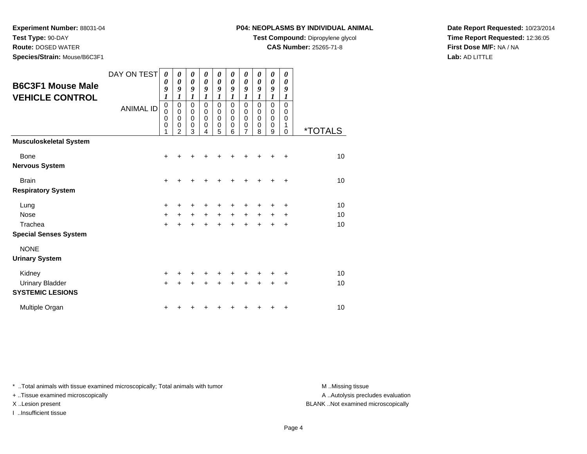**Test Type:** 90-DAY

**Route:** DOSED WATER

**Species/Strain:** Mouse/B6C3F1

#### **P04: NEOPLASMS BY INDIVIDUAL ANIMAL**

**Test Compound:** Dipropylene glycol

**CAS Number:** 25265-71-8

**Date Report Requested:** 10/23/2014**Time Report Requested:** 12:36:05**First Dose M/F:** NA / NA**Lab:** AD LITTLE

| <b>B6C3F1 Mouse Male</b><br><b>VEHICLE CONTROL</b>          | DAY ON TEST<br><b>ANIMAL ID</b> | $\boldsymbol{\theta}$<br>$\boldsymbol{\theta}$<br>9<br>1<br>$\pmb{0}$<br>$\mathbf 0$<br>$\mathbf 0$<br>$\mathbf 0$<br>1 | 0<br>0<br>9<br>1<br>$\mathbf 0$<br>$\mathbf 0$<br>$\mathbf 0$<br>0<br>$\overline{2}$ | 0<br>$\boldsymbol{\theta}$<br>9<br>1<br>$\mathbf 0$<br>$\pmb{0}$<br>$\mathbf 0$<br>$\mathbf 0$<br>3 | 0<br>0<br>9<br>1<br>$\mathbf 0$<br>$\mathbf 0$<br>$\Omega$<br>0<br>4 | 0<br>0<br>9<br>1<br>$\mathbf 0$<br>$\mathbf 0$<br>0<br>0<br>5 | 0<br>0<br>9<br>$\boldsymbol{l}$<br>$\Omega$<br>$\Omega$<br>$\Omega$<br>0<br>6 | 0<br>0<br>9<br>1<br>$\mathbf 0$<br>0<br>0<br>0<br>7 | 0<br>$\boldsymbol{\theta}$<br>9<br>1<br>$\mathbf 0$<br>0<br>0<br>0<br>8 | 0<br>$\boldsymbol{\theta}$<br>9<br>1<br>0<br>0<br>0<br>0<br>9 | 0<br>0<br>9<br>1<br>0<br>0<br>0<br>1<br>$\Omega$ | *TOTALS        |
|-------------------------------------------------------------|---------------------------------|-------------------------------------------------------------------------------------------------------------------------|--------------------------------------------------------------------------------------|-----------------------------------------------------------------------------------------------------|----------------------------------------------------------------------|---------------------------------------------------------------|-------------------------------------------------------------------------------|-----------------------------------------------------|-------------------------------------------------------------------------|---------------------------------------------------------------|--------------------------------------------------|----------------|
| <b>Musculoskeletal System</b>                               |                                 |                                                                                                                         |                                                                                      |                                                                                                     |                                                                      |                                                               |                                                                               |                                                     |                                                                         |                                                               |                                                  |                |
| <b>Bone</b><br><b>Nervous System</b>                        |                                 | +                                                                                                                       |                                                                                      |                                                                                                     |                                                                      |                                                               |                                                                               |                                                     |                                                                         |                                                               | ٠                                                | 10             |
| <b>Brain</b><br><b>Respiratory System</b>                   |                                 | $\ddot{}$                                                                                                               |                                                                                      |                                                                                                     |                                                                      | +                                                             | +                                                                             | +                                                   |                                                                         |                                                               | +                                                | 10             |
| Lung<br>Nose<br>Trachea<br><b>Special Senses System</b>     |                                 | +<br>$\ddot{}$<br>$\ddot{}$                                                                                             |                                                                                      | +<br>$\ddot{}$                                                                                      | $\ddot{}$                                                            | +<br>$\ddot{}$<br>$\ddot{}$                                   | $\ddot{}$<br>÷                                                                | +<br>+<br>÷                                         | $\ddot{}$                                                               | +                                                             | +<br>+<br>+                                      | 10<br>10<br>10 |
| <b>NONE</b><br><b>Urinary System</b>                        |                                 |                                                                                                                         |                                                                                      |                                                                                                     |                                                                      |                                                               |                                                                               |                                                     |                                                                         |                                                               |                                                  |                |
| Kidney<br><b>Urinary Bladder</b><br><b>SYSTEMIC LESIONS</b> |                                 | $\pm$<br>$\ddot{}$                                                                                                      |                                                                                      |                                                                                                     |                                                                      | $\ddot{}$                                                     | ÷                                                                             | +                                                   |                                                                         | +                                                             | +<br>+                                           | 10<br>10       |
| Multiple Organ                                              |                                 |                                                                                                                         |                                                                                      |                                                                                                     |                                                                      |                                                               |                                                                               |                                                     |                                                                         |                                                               | +                                                | 10             |

\* ..Total animals with tissue examined microscopically; Total animals with tumor **M** . Missing tissue M ..Missing tissue

+ ..Tissue examined microscopically

I ..Insufficient tissue

A ..Autolysis precludes evaluation

X ..Lesion present BLANK ..Not examined microscopically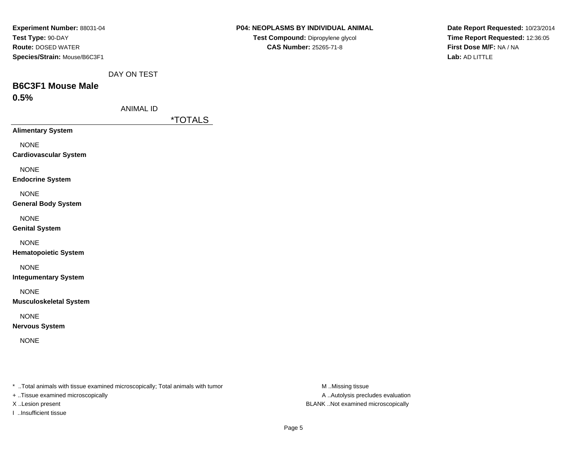| <b>Experiment Number: 88031-04</b> |
|------------------------------------|
| Test Type: 90-DAY                  |
| <b>Route: DOSED WATER</b>          |
| Species/Strain: Mouse/B6C3F1       |

| P04: NEOPLASMS BY INDIVIDUAL ANIMAL |
|-------------------------------------|
| Test Compound: Dipropylene glycol   |
| <b>CAS Number: 25265-71-8</b>       |

**Date Report Requested:** 10/23/2014**Time Report Requested:** 12:36:05**First Dose M/F:** NA / NA**Lab:** AD LITTLE

DAY ON TEST

# **B6C3F1 Mouse Male0.5%**

|  | ANIMAL ID |  |
|--|-----------|--|

\*TOTALS

**Alimentary System**

NONE

**Cardiovascular System**

NONE

**Endocrine System**

NONE

**General Body System**

NONE

**Genital System**

NONE

**Hematopoietic System**

NONE

**Integumentary System**

NONE

**Musculoskeletal System**

NONE

**Nervous System**

NONE

\* ..Total animals with tissue examined microscopically; Total animals with tumor **M** ...Missing tissue M ...Missing tissue

+ ..Tissue examined microscopically

I ..Insufficient tissue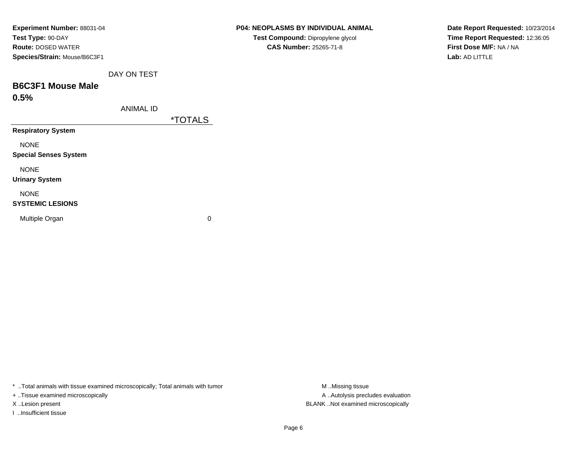| Experiment Number: 88031-04<br>Test Type: 90-DAY<br><b>Route: DOSED WATER</b><br>Species/Strain: Mouse/B6C3F1 |                  |                       | <b>P04: NEOPLASMS BY INDIVIDUAL</b><br>Test Compound: Dipropylene g<br>CAS Number: 25265-71-8 |
|---------------------------------------------------------------------------------------------------------------|------------------|-----------------------|-----------------------------------------------------------------------------------------------|
|                                                                                                               | DAY ON TEST      |                       |                                                                                               |
| <b>B6C3F1 Mouse Male</b>                                                                                      |                  |                       |                                                                                               |
| 0.5%                                                                                                          |                  |                       |                                                                                               |
|                                                                                                               | <b>ANIMAL ID</b> |                       |                                                                                               |
|                                                                                                               |                  | <i><b>*TOTALS</b></i> |                                                                                               |
| <b>Respiratory System</b>                                                                                     |                  |                       |                                                                                               |
| <b>NONE</b>                                                                                                   |                  |                       |                                                                                               |
| <b>Special Senses System</b>                                                                                  |                  |                       |                                                                                               |
| <b>NONE</b>                                                                                                   |                  |                       |                                                                                               |
| <b>Urinary System</b>                                                                                         |                  |                       |                                                                                               |
| <b>NONE</b>                                                                                                   |                  |                       |                                                                                               |
| <b>SYSTEMIC LESIONS</b>                                                                                       |                  |                       |                                                                                               |
| Multiple Organ                                                                                                |                  | 0                     |                                                                                               |

\* ..Total animals with tissue examined microscopically; Total animals with tumor **M** ..Missing tissue M ..Missing tissue

+ ..Tissue examined microscopically

X ..Lesion present BLANK ..Not examined microscopically

I ..Insufficient tissue

**SMS BY INDIVIDUAL ANIMAL mpound:** Dipropylene glycol

**Date Report Requested:** 10/23/2014**Time Report Requested:** 12:36:05**First Dose M/F:** NA / NA**Lab:** AD LITTLE

Page 6

A ..Autolysis precludes evaluation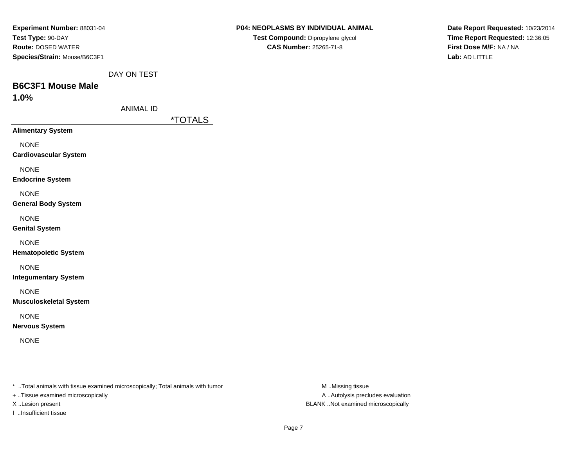| <b>Experiment Number: 88031-04</b> |
|------------------------------------|
| Test Type: 90-DAY                  |
| <b>Route: DOSED WATER</b>          |
| Species/Strain: Mouse/B6C3F1       |

| P04: NEOPLASMS BY INDIVIDUAL ANIMAL |
|-------------------------------------|
| Test Compound: Dipropylene glycol   |
| <b>CAS Number: 25265-71-8</b>       |

**Date Report Requested:** 10/23/2014**Time Report Requested:** 12:36:05**First Dose M/F:** NA / NA**Lab:** AD LITTLE

DAY ON TEST

# **B6C3F1 Mouse Male**

**1.0%**

\*TOTALS

**Alimentary System**

NONE

**Cardiovascular System**

NONE

**Endocrine System**

NONE

**General Body System**

NONE

**Genital System**

NONE

**Hematopoietic System**

NONE

**Integumentary System**

NONE

**Musculoskeletal System**

NONE

**Nervous System**

NONE

\* ..Total animals with tissue examined microscopically; Total animals with tumor **M** ...Missing tissue M ...Missing tissue

+ ..Tissue examined microscopically

I ..Insufficient tissue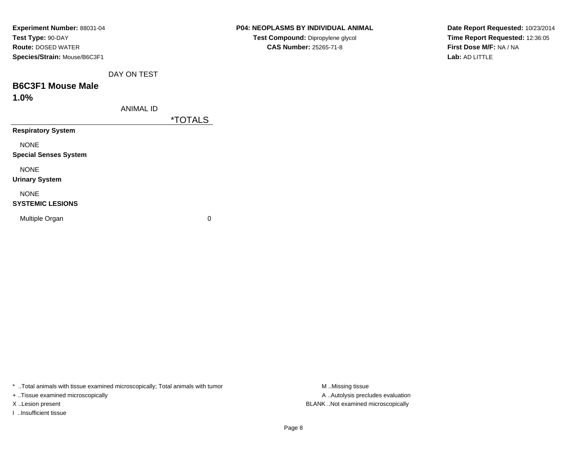| Experiment Number: 88031-04  |
|------------------------------|
| Test Type: 90-DAY            |
| <b>Route: DOSED WATER</b>    |
| Species/Strain: Mouse/B6C3F1 |
|                              |

| P04: NEOPLASMS BY INDIVIDUAL ANIMAL      |
|------------------------------------------|
| <b>Test Compound: Dipropylene glycol</b> |
| <b>CAS Number: 25265-71-8</b>            |

**Date Report Requested:** 10/23/2014**Time Report Requested:** 12:36:05**First Dose M/F:** NA / NA**Lab:** AD LITTLE

DAY ON TEST

# **B6C3F1 Mouse Male**

**1.0%**

\*TOTALS

**Respiratory System**

NONE

**Special Senses System**

NONE

**Urinary System**

### NONE

#### **SYSTEMIC LESIONS**

Multiple Organ

 $\mathbf n$  0

\* ..Total animals with tissue examined microscopically; Total animals with tumor **M** . Missing tissue M ..Missing tissue

+ ..Tissue examined microscopically

I ..Insufficient tissue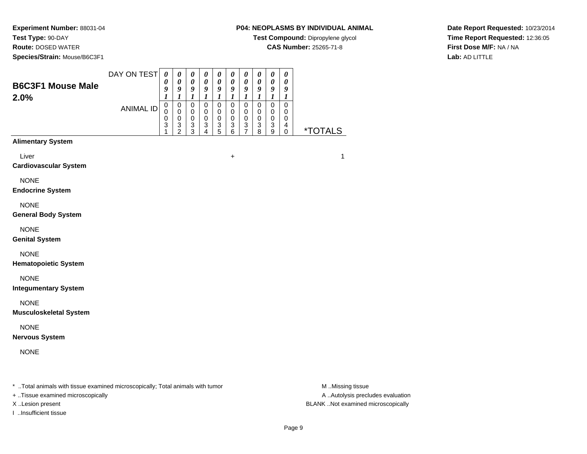**Test Type:** 90-DAY

**Route:** DOSED WATER

**Species/Strain:** Mouse/B6C3F1

# **P04: NEOPLASMS BY INDIVIDUAL ANIMAL**

**Test Compound:** Dipropylene glycol

**CAS Number:** 25265-71-8

**Date Report Requested:** 10/23/2014**Time Report Requested:** 12:36:05**First Dose M/F:** NA / NA**Lab:** AD LITTLE

| <b>B6C3F1 Mouse Male</b><br>2.0%                                               | DAY ON TEST      | $\boldsymbol{\theta}$<br>$\boldsymbol{\theta}$<br>9<br>1                    | $\boldsymbol{\theta}$<br>$\boldsymbol{\theta}$<br>9<br>$\boldsymbol{l}$        | $\pmb{\theta}$<br>$\boldsymbol{\theta}$<br>9<br>$\boldsymbol{l}$ | $\boldsymbol{\theta}$<br>$\boldsymbol{\theta}$<br>9<br>$\boldsymbol{l}$ | $\pmb{\theta}$<br>$\boldsymbol{\theta}$<br>9<br>$\boldsymbol{l}$     | $\boldsymbol{\theta}$<br>0<br>9<br>$\boldsymbol{l}$               | $\boldsymbol{\theta}$<br>$\pmb{\theta}$<br>9<br>$\boldsymbol{l}$ | $\boldsymbol{\theta}$<br>$\boldsymbol{\theta}$<br>9<br>$\boldsymbol{l}$ | 0<br>$\boldsymbol{\theta}$<br>9<br>$\boldsymbol{l}$                         | $\boldsymbol{\theta}$<br>$\boldsymbol{\theta}$<br>9<br>$\boldsymbol{l}$ |                         |   |
|--------------------------------------------------------------------------------|------------------|-----------------------------------------------------------------------------|--------------------------------------------------------------------------------|------------------------------------------------------------------|-------------------------------------------------------------------------|----------------------------------------------------------------------|-------------------------------------------------------------------|------------------------------------------------------------------|-------------------------------------------------------------------------|-----------------------------------------------------------------------------|-------------------------------------------------------------------------|-------------------------|---|
|                                                                                | <b>ANIMAL ID</b> | $\mathbf 0$<br>$\mathbf 0$<br>$\mathbf 0$<br>$\ensuremath{\mathsf{3}}$<br>1 | $\mathbf 0$<br>$\mathbf 0$<br>0<br>$\ensuremath{\mathsf{3}}$<br>$\overline{c}$ | $\mathbf 0$<br>$\mathbf 0$<br>0<br>$\,$ 3 $\,$<br>3              | $\mathbf 0$<br>0<br>0<br>3<br>4                                         | $\mathbf 0$<br>0<br>0<br>$\ensuremath{\mathsf{3}}$<br>$\overline{5}$ | $\mathbf 0$<br>$\mathbf 0$<br>0<br>$\ensuremath{\mathsf{3}}$<br>6 | 0<br>0<br>0<br>3<br>$\overline{7}$                               | $\mathbf 0$<br>$\mathbf 0$<br>$\mathbf 0$<br>$\mathbf{3}$<br>8          | $\mathbf 0$<br>$\mathbf 0$<br>$\mathbf 0$<br>$\ensuremath{\mathsf{3}}$<br>9 | $\mathbf 0$<br>0<br>0<br>$\overline{\mathbf{4}}$<br>$\mathbf 0$         | <i><b>*TOTALS</b></i>   |   |
| <b>Alimentary System</b>                                                       |                  |                                                                             |                                                                                |                                                                  |                                                                         |                                                                      |                                                                   |                                                                  |                                                                         |                                                                             |                                                                         |                         |   |
| Liver<br><b>Cardiovascular System</b>                                          |                  |                                                                             |                                                                                |                                                                  |                                                                         |                                                                      | +                                                                 |                                                                  |                                                                         |                                                                             |                                                                         |                         | 1 |
| <b>NONE</b><br><b>Endocrine System</b>                                         |                  |                                                                             |                                                                                |                                                                  |                                                                         |                                                                      |                                                                   |                                                                  |                                                                         |                                                                             |                                                                         |                         |   |
| <b>NONE</b><br><b>General Body System</b>                                      |                  |                                                                             |                                                                                |                                                                  |                                                                         |                                                                      |                                                                   |                                                                  |                                                                         |                                                                             |                                                                         |                         |   |
| <b>NONE</b><br><b>Genital System</b>                                           |                  |                                                                             |                                                                                |                                                                  |                                                                         |                                                                      |                                                                   |                                                                  |                                                                         |                                                                             |                                                                         |                         |   |
| <b>NONE</b><br><b>Hematopoietic System</b>                                     |                  |                                                                             |                                                                                |                                                                  |                                                                         |                                                                      |                                                                   |                                                                  |                                                                         |                                                                             |                                                                         |                         |   |
| <b>NONE</b><br><b>Integumentary System</b>                                     |                  |                                                                             |                                                                                |                                                                  |                                                                         |                                                                      |                                                                   |                                                                  |                                                                         |                                                                             |                                                                         |                         |   |
| <b>NONE</b><br><b>Musculoskeletal System</b>                                   |                  |                                                                             |                                                                                |                                                                  |                                                                         |                                                                      |                                                                   |                                                                  |                                                                         |                                                                             |                                                                         |                         |   |
| <b>NONE</b><br><b>Nervous System</b>                                           |                  |                                                                             |                                                                                |                                                                  |                                                                         |                                                                      |                                                                   |                                                                  |                                                                         |                                                                             |                                                                         |                         |   |
| <b>NONE</b>                                                                    |                  |                                                                             |                                                                                |                                                                  |                                                                         |                                                                      |                                                                   |                                                                  |                                                                         |                                                                             |                                                                         |                         |   |
| * Total opimals with tissue examined microscopically: Total opimals with tumor |                  |                                                                             |                                                                                |                                                                  |                                                                         |                                                                      |                                                                   |                                                                  |                                                                         |                                                                             |                                                                         | M <sub>N</sub> Microins |   |

..Total animals with tissue examined microscopically; Total animals with tumor M ..Missing tissue M ..Missing tissue

+ ..Tissue examined microscopically

I ..Insufficient tissue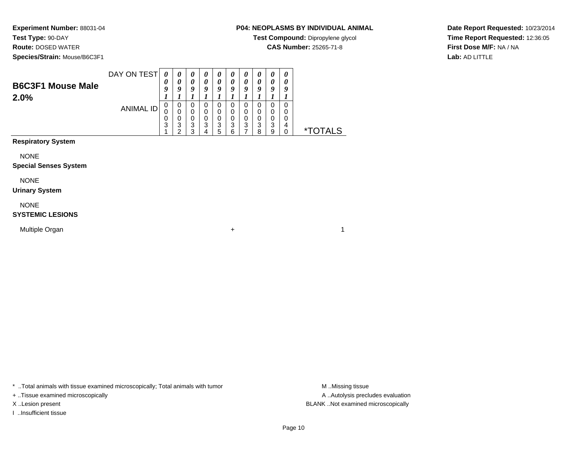**Test Type:** 90-DAY

**Route:** DOSED WATER

**Species/Strain:** Mouse/B6C3F1

## **P04: NEOPLASMS BY INDIVIDUAL ANIMAL**

**Test Compound:** Dipropylene glycol

**CAS Number:** 25265-71-8

**Date Report Requested:** 10/23/2014**Time Report Requested:** 12:36:05**First Dose M/F:** NA / NA**Lab:** AD LITTLE

| <b>B6C3F1 Mouse Male</b><br>2.0% | DAY ON TEST | U<br>O           | O           | $\boldsymbol{\theta}$<br>a |        | $\boldsymbol{\theta}$<br>0<br>o |        | U<br>$\boldsymbol{\theta}$<br>o | U<br>o       | $\boldsymbol{\theta}$<br>$\boldsymbol{\theta}$<br>a | 0<br>a |            |
|----------------------------------|-------------|------------------|-------------|----------------------------|--------|---------------------------------|--------|---------------------------------|--------------|-----------------------------------------------------|--------|------------|
|                                  | ANIMAL ID   | 0<br>U<br>0<br>3 | U<br>3<br>◠ | U<br>0<br>υ<br>3<br>◠      | U<br>3 | 0<br>0<br>0<br>3                | 3<br>ຂ | 0<br>0<br>3                     | ?<br>J<br>ິດ | 0<br>0<br>3<br>o                                    | 0<br>4 | **<br>ALS. |

**Respiratory System**

NONE

#### **Special Senses System**

NONE

#### **Urinary System**

NONE

#### **SYSTEMIC LESIONS**

Multiple Organn  $+$ 

\* ..Total animals with tissue examined microscopically; Total animals with tumor **M** . Missing tissue M ..Missing tissue

+ ..Tissue examined microscopically

I ..Insufficient tissue

A ..Autolysis precludes evaluation X ..Lesion present BLANK ..Not examined microscopically

 $\overline{1}$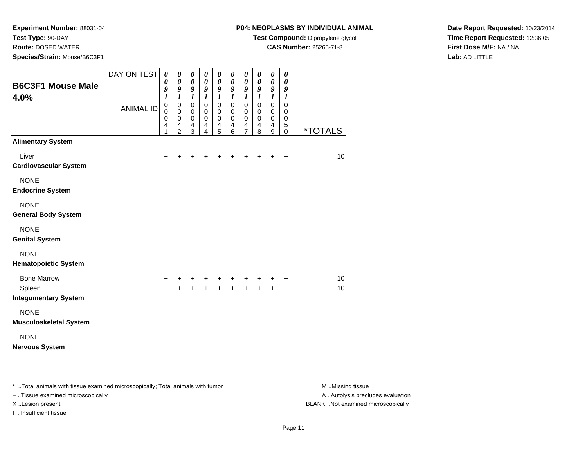**Test Type:** 90-DAY

**Route:** DOSED WATER

**Species/Strain:** Mouse/B6C3F1

## **P04: NEOPLASMS BY INDIVIDUAL ANIMAL**

**Test Compound:** Dipropylene glycol

**CAS Number:** 25265-71-8

**Date Report Requested:** 10/23/2014**Time Report Requested:** 12:36:05**First Dose M/F:** NA / NA**Lab:** AD LITTLE

| <b>B6C3F1 Mouse Male</b><br>4.0%             | DAY ON TEST      | $\boldsymbol{\theta}$<br>0<br>9<br>$\boldsymbol{l}$          | 0<br>$\boldsymbol{\theta}$<br>9<br>$\boldsymbol{l}$          | 0<br>$\boldsymbol{\theta}$<br>$\boldsymbol{g}$<br>$\boldsymbol{l}$           | 0<br>0<br>9<br>$\boldsymbol{l}$                    | 0<br>$\boldsymbol{\theta}$<br>$\boldsymbol{9}$<br>$\boldsymbol{l}$        | 0<br>$\boldsymbol{\theta}$<br>9<br>$\boldsymbol{l}$               | 0<br>$\boldsymbol{\theta}$<br>$\boldsymbol{g}$<br>$\boldsymbol{l}$              | 0<br>$\boldsymbol{\theta}$<br>9<br>$\boldsymbol{l}$          | $\boldsymbol{\theta}$<br>$\pmb{\theta}$<br>9<br>$\boldsymbol{l}$         | 0<br>$\boldsymbol{\theta}$<br>9<br>$\boldsymbol{l}$          |                       |
|----------------------------------------------|------------------|--------------------------------------------------------------|--------------------------------------------------------------|------------------------------------------------------------------------------|----------------------------------------------------|---------------------------------------------------------------------------|-------------------------------------------------------------------|---------------------------------------------------------------------------------|--------------------------------------------------------------|--------------------------------------------------------------------------|--------------------------------------------------------------|-----------------------|
|                                              | <b>ANIMAL ID</b> | $\pmb{0}$<br>$\mathbf 0$<br>$\pmb{0}$<br>$\overline{4}$<br>1 | $\mathbf 0$<br>$\pmb{0}$<br>$\pmb{0}$<br>4<br>$\overline{2}$ | $\overline{0}$<br>$\mathbf 0$<br>$\mathbf 0$<br>$\overline{\mathbf{4}}$<br>3 | $\overline{0}$<br>$\pmb{0}$<br>$\pmb{0}$<br>4<br>4 | $\mathbf 0$<br>$\mathbf 0$<br>$\mathbf 0$<br>$\overline{\mathbf{4}}$<br>5 | $\overline{0}$<br>$\mathbf 0$<br>$\pmb{0}$<br>$\overline{4}$<br>6 | $\overline{0}$<br>0<br>$\mathbf 0$<br>$\overline{\mathbf{4}}$<br>$\overline{7}$ | $\mathbf 0$<br>$\pmb{0}$<br>$\pmb{0}$<br>$\overline{4}$<br>8 | $\overline{0}$<br>$\pmb{0}$<br>$\pmb{0}$<br>$\overline{\mathbf{4}}$<br>9 | $\overline{0}$<br>$\pmb{0}$<br>$\pmb{0}$<br>5<br>$\mathbf 0$ | <i><b>*TOTALS</b></i> |
| <b>Alimentary System</b>                     |                  |                                                              |                                                              |                                                                              |                                                    |                                                                           |                                                                   |                                                                                 |                                                              |                                                                          |                                                              |                       |
| Liver<br><b>Cardiovascular System</b>        |                  | $\ddot{}$                                                    |                                                              |                                                                              |                                                    | +                                                                         | ٠                                                                 | +                                                                               | +                                                            | $\ddot{}$                                                                | $\ddot{}$                                                    | 10                    |
| <b>NONE</b><br><b>Endocrine System</b>       |                  |                                                              |                                                              |                                                                              |                                                    |                                                                           |                                                                   |                                                                                 |                                                              |                                                                          |                                                              |                       |
| <b>NONE</b><br><b>General Body System</b>    |                  |                                                              |                                                              |                                                                              |                                                    |                                                                           |                                                                   |                                                                                 |                                                              |                                                                          |                                                              |                       |
| <b>NONE</b><br><b>Genital System</b>         |                  |                                                              |                                                              |                                                                              |                                                    |                                                                           |                                                                   |                                                                                 |                                                              |                                                                          |                                                              |                       |
| <b>NONE</b><br><b>Hematopoietic System</b>   |                  |                                                              |                                                              |                                                                              |                                                    |                                                                           |                                                                   |                                                                                 |                                                              |                                                                          |                                                              |                       |
| <b>Bone Marrow</b>                           |                  | +                                                            |                                                              | +                                                                            | +                                                  | +                                                                         | +                                                                 | +                                                                               | +                                                            | +                                                                        | $\ddot{}$                                                    | 10                    |
| Spleen<br><b>Integumentary System</b>        |                  | $+$                                                          | $\ddot{+}$                                                   | $\ddot{+}$                                                                   | $\ddot{+}$                                         | $\ddot{+}$                                                                | $+$                                                               | $+$                                                                             | $+$                                                          | $\ddot{}$                                                                | $\ddot{}$                                                    | 10                    |
| <b>NONE</b><br><b>Musculoskeletal System</b> |                  |                                                              |                                                              |                                                                              |                                                    |                                                                           |                                                                   |                                                                                 |                                                              |                                                                          |                                                              |                       |
| <b>NONE</b><br><b>Nervous System</b>         |                  |                                                              |                                                              |                                                                              |                                                    |                                                                           |                                                                   |                                                                                 |                                                              |                                                                          |                                                              |                       |
|                                              |                  |                                                              |                                                              |                                                                              |                                                    |                                                                           |                                                                   |                                                                                 |                                                              |                                                                          |                                                              |                       |

\* ..Total animals with tissue examined microscopically; Total animals with tumor **M** . Missing tissue M ..Missing tissue A ..Autolysis precludes evaluation + ..Tissue examined microscopically X ..Lesion present BLANK ..Not examined microscopicallyI ..Insufficient tissue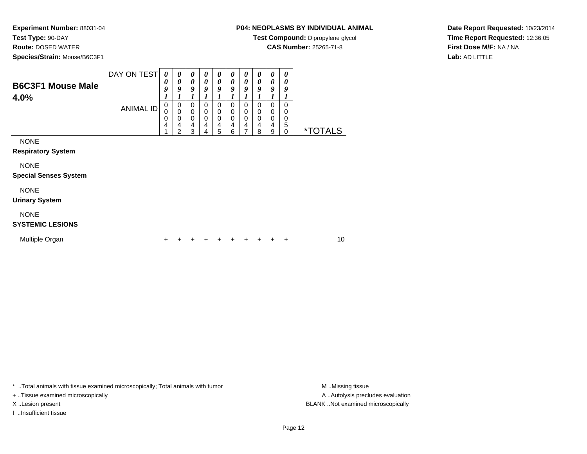**Test Type:** 90-DAY

**Route:** DOSED WATER

**Species/Strain:** Mouse/B6C3F1

# **P04: NEOPLASMS BY INDIVIDUAL ANIMAL**

**Test Compound:** Dipropylene glycol

**CAS Number:** 25265-71-8

**Date Report Requested:** 10/23/2014**Time Report Requested:** 12:36:05**First Dose M/F:** NA / NA**Lab:** AD LITTLE

| <b>B6C3F1 Mouse Male</b><br>4.0%            | <b>ANIMAL ID</b> | 0<br>9<br>1<br>$\pmb{0}$<br>$\mathbf 0$<br>0<br>4 | $\boldsymbol{\theta}$<br>9<br>$\pmb{0}$<br>$\mathbf 0$<br>$\mathbf 0$<br>4<br>$\overline{2}$ | $\boldsymbol{\theta}$<br>9<br>$\mathbf 0$<br>$\mathbf 0$<br>$\mathbf 0$<br>4<br>3 | $\boldsymbol{\theta}$<br>9<br>$\mathbf 0$<br>$\mathbf 0$<br>$\mathbf 0$<br>4<br>4 | $\boldsymbol{\theta}$<br>9<br>$\mathbf 0$<br>$\mathbf 0$<br>$\mathbf 0$<br>4<br>$\sqrt{5}$ | $\boldsymbol{\theta}$<br>9<br>0<br>0<br>0<br>4<br>6 | $\boldsymbol{\theta}$<br>9<br>$\mathbf 0$<br>0<br>0<br>4<br>7 | 0<br>9<br>$\mathbf 0$<br>0<br>0<br>4<br>8 | $\boldsymbol{\theta}$<br>9<br>1<br>$\mathbf 0$<br>0<br>$\mathbf 0$<br>$\overline{\mathbf{4}}$<br>9 | 0<br>9<br>$\Omega$<br>0<br>0<br>5<br>0 | <i><b>*TOTALS</b></i> |
|---------------------------------------------|------------------|---------------------------------------------------|----------------------------------------------------------------------------------------------|-----------------------------------------------------------------------------------|-----------------------------------------------------------------------------------|--------------------------------------------------------------------------------------------|-----------------------------------------------------|---------------------------------------------------------------|-------------------------------------------|----------------------------------------------------------------------------------------------------|----------------------------------------|-----------------------|
| <b>NONE</b><br><b>Respiratory System</b>    |                  |                                                   |                                                                                              |                                                                                   |                                                                                   |                                                                                            |                                                     |                                                               |                                           |                                                                                                    |                                        |                       |
| <b>NONE</b><br><b>Special Senses System</b> |                  |                                                   |                                                                                              |                                                                                   |                                                                                   |                                                                                            |                                                     |                                                               |                                           |                                                                                                    |                                        |                       |
| <b>NONE</b><br><b>Urinary System</b>        |                  |                                                   |                                                                                              |                                                                                   |                                                                                   |                                                                                            |                                                     |                                                               |                                           |                                                                                                    |                                        |                       |
| <b>NONE</b><br><b>SYSTEMIC LESIONS</b>      |                  |                                                   |                                                                                              |                                                                                   |                                                                                   |                                                                                            |                                                     |                                                               |                                           |                                                                                                    |                                        |                       |
| Multiple Organ                              |                  | +                                                 |                                                                                              |                                                                                   |                                                                                   |                                                                                            |                                                     |                                                               |                                           |                                                                                                    | ÷                                      | 10                    |

\* ..Total animals with tissue examined microscopically; Total animals with tumor **M** . Missing tissue M ..Missing tissue

+ ..Tissue examined microscopically

I ..Insufficient tissue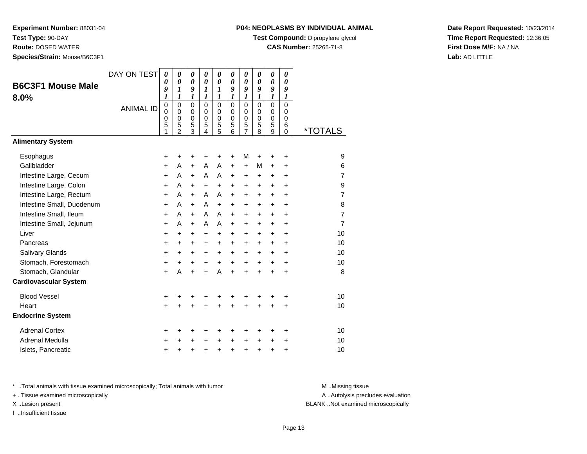**Test Type:** 90-DAY

**Route:** DOSED WATER

**Species/Strain:** Mouse/B6C3F1

## **P04: NEOPLASMS BY INDIVIDUAL ANIMAL**

**Test Compound:** Dipropylene glycol

**CAS Number:** 25265-71-8

**Date Report Requested:** 10/23/2014**Time Report Requested:** 12:36:05**First Dose M/F:** NA / NA**Lab:** AD LITTLE

|                              | DAY ON TEST      | $\boldsymbol{\theta}$<br>0      | 0<br>$\boldsymbol{\theta}$ | 0<br>$\boldsymbol{\theta}$ | 0<br>0               | $\boldsymbol{\theta}$<br>$\boldsymbol{\theta}$ | 0<br>0                     | 0<br>0                     | 0<br>$\boldsymbol{\theta}$ | $\boldsymbol{\theta}$<br>0 | 0<br>0           |                       |
|------------------------------|------------------|---------------------------------|----------------------------|----------------------------|----------------------|------------------------------------------------|----------------------------|----------------------------|----------------------------|----------------------------|------------------|-----------------------|
| <b>B6C3F1 Mouse Male</b>     |                  | 9                               | $\boldsymbol{l}$           | 9                          | $\boldsymbol{l}$     | 1                                              | 9                          | 9                          | 9                          | 9                          | 9                |                       |
| 8.0%                         |                  | $\boldsymbol{l}$                | $\boldsymbol{l}$           | 1                          | 1                    | $\boldsymbol{l}$                               | $\boldsymbol{l}$           | $\boldsymbol{l}$           | 1                          | $\boldsymbol{l}$           | 1                |                       |
|                              | <b>ANIMAL ID</b> | $\boldsymbol{0}$<br>$\mathbf 0$ | $\mathbf 0$<br>$\mathbf 0$ | $\mathbf 0$<br>$\mathbf 0$ | $\Omega$<br>$\Omega$ | $\mathbf 0$<br>$\mathbf 0$                     | $\mathbf 0$<br>$\mathbf 0$ | $\mathbf 0$<br>$\mathbf 0$ | $\Omega$<br>$\Omega$       | $\mathbf 0$<br>$\mathbf 0$ | $\mathbf 0$<br>0 |                       |
|                              |                  | 0                               | 0<br>5                     | 0<br>5                     | 0<br>5               | $\begin{matrix}0\\5\end{matrix}$               | $\mathbf 0$<br>5           | 0                          | $\mathbf 0$                | $\mathbf 0$<br>5           | $\mathbf 0$      |                       |
|                              |                  | 5<br>1                          | $\mathfrak{p}$             | 3                          | 4                    | 5                                              | 6                          | 5<br>$\overline{7}$        | 5<br>8                     | 9                          | 6<br>$\Omega$    | <i><b>*TOTALS</b></i> |
| <b>Alimentary System</b>     |                  |                                 |                            |                            |                      |                                                |                            |                            |                            |                            |                  |                       |
| Esophagus                    |                  | +                               | +                          | +                          | +                    | +                                              | +                          | M                          | +                          | +                          | +                | 9                     |
| Gallbladder                  |                  | +                               | A                          | +                          | A                    | A                                              | $\ddot{}$                  | $+$                        | М                          | $\ddot{}$                  | +                | 6                     |
| Intestine Large, Cecum       |                  | $\ddot{}$                       | A                          | $\ddot{}$                  | A                    | A                                              | $\ddot{}$                  | $\ddot{}$                  | +                          | $\ddot{}$                  | $\ddot{}$        | $\overline{7}$        |
| Intestine Large, Colon       |                  | +                               | A                          | $\ddot{}$                  | $\ddot{}$            | $\ddot{}$                                      | $\ddot{}$                  | $\ddot{}$                  | +                          | +                          | $\ddot{}$        | 9                     |
| Intestine Large, Rectum      |                  | $\ddot{}$                       | A                          | $\ddot{}$                  | A                    | A                                              | $\ddot{}$                  | $\ddot{}$                  | $\ddot{}$                  | $\ddot{}$                  | $\ddot{}$        | $\overline{7}$        |
| Intestine Small, Duodenum    |                  | $\ddot{}$                       | A                          | $\ddot{}$                  | A                    | $\ddot{}$                                      | $+$                        | $\ddot{}$                  | $\ddot{}$                  | $\ddot{}$                  | $\ddot{}$        | 8                     |
| Intestine Small, Ileum       |                  | +                               | A                          | $+$                        | A                    | A                                              | $\ddot{}$                  | $\ddot{}$                  | +                          | $\ddot{}$                  | $\ddot{}$        | $\overline{7}$        |
| Intestine Small, Jejunum     |                  | +                               | A                          | $\ddot{}$                  | A                    | A                                              | $\ddot{}$                  | $\ddot{}$                  | $\ddot{}$                  | $\ddot{}$                  | $\ddot{}$        | $\overline{7}$        |
| Liver                        |                  | $\ddot{}$                       | +                          | +                          | $\ddot{}$            | +                                              | $+$                        | +                          | $\ddot{}$                  | $\ddot{}$                  | $\ddot{}$        | 10                    |
| Pancreas                     |                  | $\ddot{}$                       | +                          | +                          | +                    | +                                              | $\ddot{}$                  | +                          | +                          | +                          | $\ddot{}$        | 10                    |
| Salivary Glands              |                  | $\ddot{}$                       | +                          | +                          | $\ddot{}$            | $\ddot{}$                                      | $\ddot{}$                  | $\ddot{}$                  | $\ddot{}$                  | $\ddot{}$                  | $\ddot{}$        | 10                    |
| Stomach, Forestomach         |                  | +                               | +                          | +                          | $\ddot{}$            | $\ddot{}$                                      | $+$                        | $+$                        | $+$                        | $\ddot{}$                  | $\ddot{}$        | 10                    |
| Stomach, Glandular           |                  | $\ddot{}$                       | A                          | $\ddot{}$                  | $\ddot{}$            | A                                              | $\ddot{}$                  | $\ddot{}$                  | $\ddot{}$                  | $\ddot{}$                  | $\ddot{}$        | 8                     |
| <b>Cardiovascular System</b> |                  |                                 |                            |                            |                      |                                                |                            |                            |                            |                            |                  |                       |
| <b>Blood Vessel</b>          |                  | $\ddot{}$                       | +                          | +                          | +                    | +                                              | +                          | +                          | +                          |                            | +                | 10                    |
| Heart                        |                  | $\ddot{}$                       |                            | $\ddot{}$                  | ÷                    | $\ddot{}$                                      |                            | $\ddot{}$                  | $\ddot{}$                  |                            | $\ddot{}$        | 10                    |
| <b>Endocrine System</b>      |                  |                                 |                            |                            |                      |                                                |                            |                            |                            |                            |                  |                       |
| <b>Adrenal Cortex</b>        |                  | +                               | ٠                          | +                          | ٠                    | +                                              | ٠                          | ٠                          | ÷                          | ٠                          | ٠                | 10                    |
| <b>Adrenal Medulla</b>       |                  | $\ddot{}$                       | +                          | $\ddot{}$                  | $\ddot{}$            | $\ddot{}$                                      | $\ddot{}$                  | $\ddot{}$                  | $\ddot{}$                  | $\ddot{}$                  | +                | 10                    |
| Islets, Pancreatic           |                  | $\ddot{}$                       | +                          | +                          | +                    | $\pmb{+}$                                      | +                          | $\ddot{}$                  | +                          | +                          | +                | 10                    |

\* ..Total animals with tissue examined microscopically; Total animals with tumor **M** . Missing tissue M ..Missing tissue

+ ..Tissue examined microscopically

I ..Insufficient tissue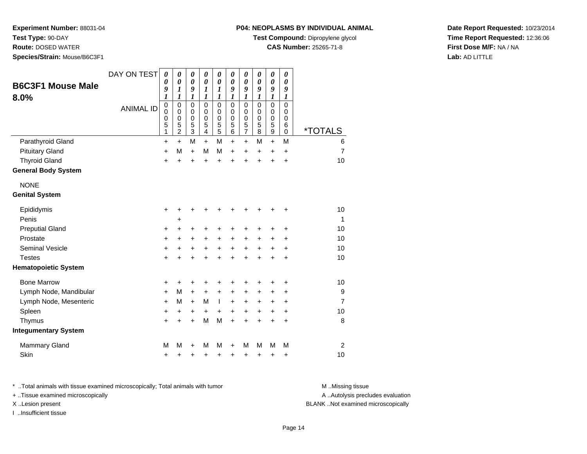**Test Type:** 90-DAY

**Route:** DOSED WATER

**Species/Strain:** Mouse/B6C3F1

#### **P04: NEOPLASMS BY INDIVIDUAL ANIMAL**

**Test Compound:** Dipropylene glycol

**CAS Number:** 25265-71-8

**Date Report Requested:** 10/23/2014**Time Report Requested:** 12:36:06**First Dose M/F:** NA / NA**Lab:** AD LITTLE

| <b>B6C3F1 Mouse Male</b><br>8.0% | DAY ON TEST      | 0<br>$\boldsymbol{\theta}$<br>9<br>$\boldsymbol{l}$ | 0<br>$\boldsymbol{\theta}$<br>1<br>$\boldsymbol{l}$    | 0<br>$\boldsymbol{\theta}$<br>9<br>1         | 0<br>$\boldsymbol{\theta}$<br>1<br>1             | 0<br>$\boldsymbol{\theta}$<br>1<br>1      | 0<br>$\boldsymbol{\theta}$<br>9<br>1             | 0<br>$\boldsymbol{\theta}$<br>9<br>1                              | 0<br>$\pmb{\theta}$<br>9<br>1             | 0<br>$\pmb{\theta}$<br>9<br>1                  | 0<br>0<br>9<br>1                |                       |
|----------------------------------|------------------|-----------------------------------------------------|--------------------------------------------------------|----------------------------------------------|--------------------------------------------------|-------------------------------------------|--------------------------------------------------|-------------------------------------------------------------------|-------------------------------------------|------------------------------------------------|---------------------------------|-----------------------|
|                                  | <b>ANIMAL ID</b> | $\pmb{0}$<br>$\mathbf 0$<br>$\mathbf 0$<br>5<br>1   | $\mathbf 0$<br>$\mathbf 0$<br>0<br>5<br>$\overline{2}$ | $\mathbf 0$<br>0<br>0<br>5<br>$\overline{3}$ | $\mathbf 0$<br>$\Omega$<br>$\mathbf 0$<br>5<br>4 | $\mathbf 0$<br>$\mathbf 0$<br>0<br>5<br>5 | $\mathbf 0$<br>$\Omega$<br>$\mathbf 0$<br>5<br>6 | $\mathbf 0$<br>0<br>$\pmb{0}$<br>$\overline{5}$<br>$\overline{7}$ | $\mathbf 0$<br>$\mathbf 0$<br>0<br>5<br>8 | $\mathbf 0$<br>0<br>0<br>5<br>$\boldsymbol{9}$ | 0<br>0<br>0<br>6<br>$\mathbf 0$ | <i><b>*TOTALS</b></i> |
| Parathyroid Gland                |                  | $\ddot{}$                                           | $+$                                                    | M                                            | $+$                                              | M                                         | $\ddot{}$                                        | $\ddot{}$                                                         | M                                         | $\ddot{}$                                      | M                               | 6                     |
| <b>Pituitary Gland</b>           |                  | $\ddot{}$                                           | M                                                      | $\ddot{}$                                    | М                                                | M                                         | +                                                | +                                                                 | $\ddot{}$                                 | $\ddot{}$                                      | $\ddot{}$                       | $\overline{7}$        |
| <b>Thyroid Gland</b>             |                  | $\ddot{}$                                           | ÷                                                      | $\ddot{}$                                    | $\ddot{}$                                        | $\ddot{}$                                 | $\ddot{}$                                        | $\ddot{}$                                                         | ÷                                         | $\ddot{}$                                      | $\ddot{}$                       | 10                    |
| <b>General Body System</b>       |                  |                                                     |                                                        |                                              |                                                  |                                           |                                                  |                                                                   |                                           |                                                |                                 |                       |
| <b>NONE</b>                      |                  |                                                     |                                                        |                                              |                                                  |                                           |                                                  |                                                                   |                                           |                                                |                                 |                       |
| <b>Genital System</b>            |                  |                                                     |                                                        |                                              |                                                  |                                           |                                                  |                                                                   |                                           |                                                |                                 |                       |
| Epididymis                       |                  | $\ddot{}$                                           | ٠                                                      | +                                            | +                                                | +                                         |                                                  | +                                                                 | +                                         | ٠                                              | +                               | 10                    |
| Penis                            |                  |                                                     | +                                                      |                                              |                                                  |                                           |                                                  |                                                                   |                                           |                                                |                                 | 1                     |
| <b>Preputial Gland</b>           |                  | +                                                   | +                                                      | +                                            | +                                                | +                                         | +                                                | +                                                                 | ٠                                         | +                                              | +                               | 10                    |
| Prostate                         |                  | $\ddot{}$                                           | +                                                      | +                                            | $\ddot{}$                                        | $\ddot{}$                                 | $\ddot{}$                                        | +                                                                 | +                                         | +                                              | $\ddot{}$                       | 10                    |
| Seminal Vesicle                  |                  | +                                                   | $\ddot{}$                                              | $\ddot{}$                                    | $\ddot{}$                                        | $\ddot{}$                                 | $+$                                              | $\ddot{}$                                                         | $\ddot{}$                                 | $\ddot{}$                                      | $\ddot{}$                       | 10                    |
| <b>Testes</b>                    |                  | $\ddot{}$                                           | $\ddot{}$                                              | $\ddot{}$                                    | $\ddot{}$                                        | $\ddot{}$                                 | $\ddot{}$                                        | $\ddot{}$                                                         | $\ddot{}$                                 | $\ddot{}$                                      | $\ddot{}$                       | 10                    |
| <b>Hematopoietic System</b>      |                  |                                                     |                                                        |                                              |                                                  |                                           |                                                  |                                                                   |                                           |                                                |                                 |                       |
| <b>Bone Marrow</b>               |                  | +                                                   | +                                                      | +                                            | +                                                | +                                         | +                                                | +                                                                 |                                           | +                                              | +                               | 10                    |
| Lymph Node, Mandibular           |                  | +                                                   | M                                                      | +                                            | +                                                | +                                         | +                                                | +                                                                 | +                                         | +                                              | +                               | 9                     |
| Lymph Node, Mesenteric           |                  | $\ddot{}$                                           | M                                                      | $+$                                          | M                                                | $\mathbf{I}$                              | $\ddot{}$                                        | $\ddot{}$                                                         | $\ddot{}$                                 | +                                              | $\ddot{}$                       | $\overline{7}$        |
| Spleen                           |                  | +                                                   | +                                                      | +                                            | +                                                | $\ddot{}$                                 | $\ddot{}$                                        | +                                                                 | $\ddot{}$                                 | +                                              | +                               | 10                    |
| Thymus                           |                  | $\ddot{}$                                           | $\ddot{}$                                              | $\ddot{}$                                    | М                                                | M                                         | $\ddot{}$                                        | $\ddot{}$                                                         | $\ddot{}$                                 | $\ddot{}$                                      | $\ddot{}$                       | 8                     |
| <b>Integumentary System</b>      |                  |                                                     |                                                        |                                              |                                                  |                                           |                                                  |                                                                   |                                           |                                                |                                 |                       |
| <b>Mammary Gland</b>             |                  | M                                                   | м                                                      | +                                            | М                                                | M                                         | +                                                | M                                                                 | м                                         | M                                              | M                               | $\overline{2}$        |
| Skin                             |                  | +                                                   | +                                                      | +                                            | +                                                | +                                         | +                                                | +                                                                 | +                                         | +                                              | +                               | 10                    |

\* ..Total animals with tissue examined microscopically; Total animals with tumor **M** . Missing tissue M ..Missing tissue

+ ..Tissue examined microscopically

I ..Insufficient tissue

A ..Autolysis precludes evaluation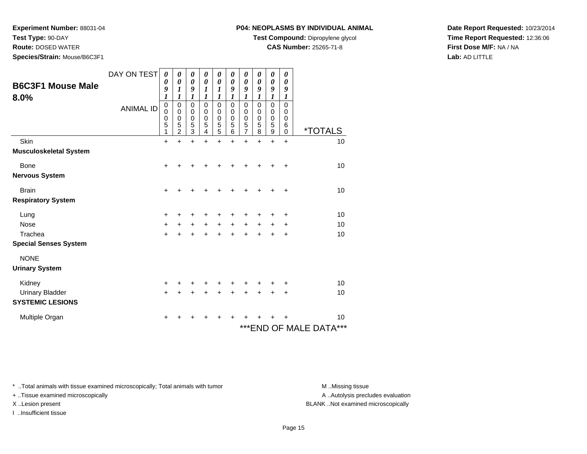**Test Type:** 90-DAY

**Route:** DOSED WATER

**Species/Strain:** Mouse/B6C3F1

#### **P04: NEOPLASMS BY INDIVIDUAL ANIMAL**

**Test Compound:** Dipropylene glycol

**CAS Number:** 25265-71-8

**Date Report Requested:** 10/23/2014**Time Report Requested:** 12:36:06**First Dose M/F:** NA / NA**Lab:** AD LITTLE

|                                  | DAY ON TEST      | 0                                               | 0                                                          | 0                                                                             | 0                                         | 0                             | 0                     | 0                                      | 0                            | 0                                                   | 0                     |                            |
|----------------------------------|------------------|-------------------------------------------------|------------------------------------------------------------|-------------------------------------------------------------------------------|-------------------------------------------|-------------------------------|-----------------------|----------------------------------------|------------------------------|-----------------------------------------------------|-----------------------|----------------------------|
| <b>B6C3F1 Mouse Male</b><br>8.0% |                  | 0<br>9<br>$\boldsymbol{l}$                      | $\boldsymbol{\theta}$<br>1<br>1                            | $\boldsymbol{\theta}$<br>9<br>1                                               | 0<br>1<br>1                               | 0<br>1<br>1                   | 0<br>9<br>1           | 0<br>9<br>1                            | 0<br>9<br>1                  | 0<br>9<br>1                                         | 0<br>9<br>1           |                            |
|                                  | <b>ANIMAL ID</b> | $\pmb{0}$<br>$\mathbf 0$<br>$\pmb{0}$<br>5<br>1 | $\pmb{0}$<br>$\pmb{0}$<br>$\pmb{0}$<br>5<br>$\overline{2}$ | $\mathbf 0$<br>$\boldsymbol{0}$<br>$\begin{array}{c} 0 \\ 5 \\ 3 \end{array}$ | $\mathbf 0$<br>$\mathbf 0$<br>0<br>5<br>4 | 0<br>0<br>$\pmb{0}$<br>5<br>5 | 0<br>0<br>0<br>5<br>6 | $\mathsf 0$<br>0<br>0<br>$\frac{5}{7}$ | 0<br>$\Omega$<br>0<br>5<br>8 | $\mathsf 0$<br>$\mathbf 0$<br>$\mathbf 0$<br>5<br>9 | 0<br>0<br>0<br>6<br>0 | <i><b>*TOTALS</b></i>      |
| Skin                             |                  | $\ddot{}$                                       |                                                            | $\ddot{}$                                                                     |                                           | $\ddot{}$                     | +                     | $\ddot{}$                              | +                            | $\ddot{}$                                           | $\ddot{}$             | 10                         |
| <b>Musculoskeletal System</b>    |                  |                                                 |                                                            |                                                                               |                                           |                               |                       |                                        |                              |                                                     |                       |                            |
| Bone                             |                  | $\ddot{}$                                       |                                                            |                                                                               |                                           |                               |                       |                                        |                              |                                                     | +                     | 10                         |
| <b>Nervous System</b>            |                  |                                                 |                                                            |                                                                               |                                           |                               |                       |                                        |                              |                                                     |                       |                            |
| <b>Brain</b>                     |                  | +                                               |                                                            |                                                                               |                                           |                               |                       |                                        |                              |                                                     | +                     | 10                         |
| <b>Respiratory System</b>        |                  |                                                 |                                                            |                                                                               |                                           |                               |                       |                                        |                              |                                                     |                       |                            |
| Lung                             |                  | +                                               |                                                            |                                                                               |                                           |                               |                       |                                        |                              |                                                     | +                     | 10                         |
| <b>Nose</b>                      |                  | $\ddot{}$                                       | $\ddot{}$                                                  | +                                                                             | $\ddot{}$                                 | $\ddot{}$                     | $\ddot{}$             | $\pm$                                  |                              | +                                                   | +                     | 10                         |
| Trachea                          |                  | $+$                                             |                                                            |                                                                               |                                           |                               |                       |                                        |                              |                                                     | +                     | 10                         |
| <b>Special Senses System</b>     |                  |                                                 |                                                            |                                                                               |                                           |                               |                       |                                        |                              |                                                     |                       |                            |
| <b>NONE</b>                      |                  |                                                 |                                                            |                                                                               |                                           |                               |                       |                                        |                              |                                                     |                       |                            |
| <b>Urinary System</b>            |                  |                                                 |                                                            |                                                                               |                                           |                               |                       |                                        |                              |                                                     |                       |                            |
| Kidney                           |                  | +                                               |                                                            |                                                                               |                                           |                               |                       |                                        |                              |                                                     |                       | 10                         |
| <b>Urinary Bladder</b>           |                  | $\ddot{}$                                       |                                                            |                                                                               |                                           |                               |                       |                                        |                              |                                                     | +                     | 10                         |
| <b>SYSTEMIC LESIONS</b>          |                  |                                                 |                                                            |                                                                               |                                           |                               |                       |                                        |                              |                                                     |                       |                            |
| Multiple Organ                   |                  | +                                               |                                                            |                                                                               |                                           |                               |                       |                                        |                              |                                                     |                       | 10                         |
|                                  |                  |                                                 |                                                            |                                                                               |                                           |                               |                       |                                        |                              |                                                     |                       | ***<br>***END OF MALE DATA |

\* ..Total animals with tissue examined microscopically; Total animals with tumor **M** . Missing tissue M ..Missing tissue

+ ..Tissue examined microscopically

I ..Insufficient tissue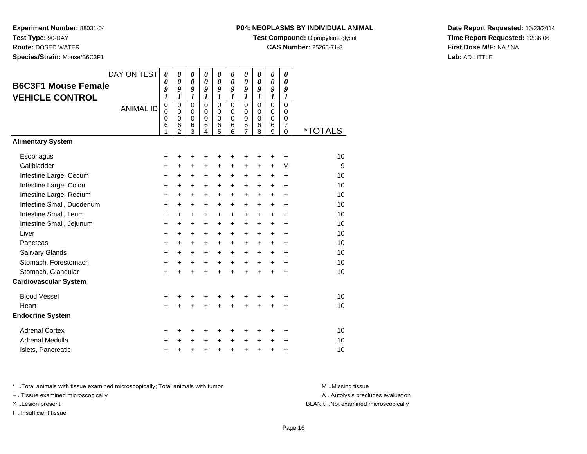**Experiment Number:** 88031-04**Test Type:** 90-DAY

**Route:** DOSED WATER

**Species/Strain:** Mouse/B6C3F1

# **P04: NEOPLASMS BY INDIVIDUAL ANIMAL**

**Test Compound:** Dipropylene glycol

**CAS Number:** 25265-71-8

**Date Report Requested:** 10/23/2014**Time Report Requested:** 12:36:06**First Dose M/F:** NA / NA**Lab:** AD LITTLE

|                              | DAY ON TEST      | $\boldsymbol{\theta}$<br>0             | 0<br>$\boldsymbol{\theta}$                | 0<br>$\boldsymbol{\theta}$             | 0<br>$\boldsymbol{\theta}$          | 0<br>0                                 | 0<br>0                              | 0<br>$\boldsymbol{\theta}$          | 0<br>$\boldsymbol{\theta}$          | 0<br>$\boldsymbol{\theta}$                    | 0<br>0                                              |                       |
|------------------------------|------------------|----------------------------------------|-------------------------------------------|----------------------------------------|-------------------------------------|----------------------------------------|-------------------------------------|-------------------------------------|-------------------------------------|-----------------------------------------------|-----------------------------------------------------|-----------------------|
| <b>B6C3F1 Mouse Female</b>   |                  | 9<br>1                                 | 9<br>1                                    | 9<br>1                                 | 9<br>$\boldsymbol{l}$               | 9<br>1                                 | 9<br>1                              | 9<br>1                              | 9<br>1                              | 9<br>1                                        | 9<br>$\boldsymbol{l}$                               |                       |
| <b>VEHICLE CONTROL</b>       | <b>ANIMAL ID</b> | $\mathbf 0$<br>$\Omega$<br>0<br>6<br>1 | 0<br>$\Omega$<br>0<br>6<br>$\overline{2}$ | $\mathbf 0$<br>$\Omega$<br>0<br>6<br>3 | $\Omega$<br>$\Omega$<br>0<br>6<br>4 | $\mathbf 0$<br>$\Omega$<br>0<br>6<br>5 | $\Omega$<br>$\Omega$<br>0<br>6<br>6 | $\Omega$<br>$\Omega$<br>0<br>6<br>7 | $\Omega$<br>$\Omega$<br>0<br>6<br>8 | $\Omega$<br>$\Omega$<br>$\mathbf 0$<br>6<br>9 | $\mathbf 0$<br>$\Omega$<br>0<br>$\overline{7}$<br>0 | <i><b>*TOTALS</b></i> |
| <b>Alimentary System</b>     |                  |                                        |                                           |                                        |                                     |                                        |                                     |                                     |                                     |                                               |                                                     |                       |
| Esophagus                    |                  | +                                      | +                                         | +                                      | ÷                                   | +                                      | ٠                                   | ٠                                   | +                                   | +                                             | ÷                                                   | 10                    |
| Gallbladder                  |                  | $\ddot{}$                              | +                                         | +                                      | $\ddot{}$                           | +                                      | +                                   | +                                   | $\ddot{}$                           | $\ddot{}$                                     | M                                                   | 9                     |
| Intestine Large, Cecum       |                  | $\ddot{}$                              | $\ddot{}$                                 | +                                      | +                                   | $\ddot{}$                              | $\ddot{}$                           | +                                   | $\ddot{}$                           | $\ddot{}$                                     | $\ddot{}$                                           | 10                    |
| Intestine Large, Colon       |                  | +                                      | +                                         | +                                      | $\ddot{}$                           | $\pm$                                  | $\pm$                               | $\pm$                               | $\ddot{}$                           | $\pm$                                         | $\ddot{}$                                           | 10                    |
| Intestine Large, Rectum      |                  | $\ddot{}$                              | $\ddot{}$                                 | +                                      | $\ddot{}$                           | $\ddot{}$                              | +                                   | +                                   | $\ddot{}$                           | $\ddot{}$                                     | $\ddot{}$                                           | 10                    |
| Intestine Small, Duodenum    |                  | $\ddot{}$                              | $\ddot{}$                                 | $\ddot{}$                              | $\ddot{}$                           | $\ddot{}$                              | $\ddot{}$                           | $\ddot{}$                           | $\ddot{}$                           | +                                             | $\ddot{}$                                           | 10                    |
| Intestine Small, Ileum       |                  | +                                      | +                                         | +                                      | $\ddot{}$                           | $\ddot{}$                              | +                                   | +                                   | $\ddot{}$                           | $\ddot{}$                                     | $\ddot{}$                                           | 10                    |
| Intestine Small, Jejunum     |                  | +                                      | +                                         | $\pm$                                  | $\ddot{}$                           | $\pm$                                  | $\ddot{}$                           | $\pm$                               | $\ddot{}$                           | $\ddot{}$                                     | $\ddot{}$                                           | 10                    |
| Liver                        |                  | $\ddot{}$                              | $\ddot{}$                                 | $\ddot{}$                              | $\ddot{}$                           | $\ddot{}$                              | $\ddot{}$                           | +                                   | $\ddot{}$                           | $\ddot{}$                                     | $\ddot{}$                                           | 10                    |
| Pancreas                     |                  | $\ddot{}$                              | $\ddot{}$                                 | $\pm$                                  | $\ddot{}$                           | $\ddot{}$                              | $\ddot{}$                           | $\ddot{}$                           | +                                   | $\ddot{}$                                     | $\ddot{}$                                           | 10                    |
| Salivary Glands              |                  | $\ddot{}$                              | $\ddot{}$                                 | +                                      | $\ddot{}$                           | $\ddot{}$                              | $\ddot{}$                           | +                                   | $\ddot{}$                           | $\ddot{}$                                     | $\ddot{}$                                           | 10                    |
| Stomach, Forestomach         |                  | +                                      | +                                         | $\ddot{}$                              | $\ddot{}$                           | $+$                                    | $\ddot{}$                           | $\ddot{}$                           | $\ddot{}$                           | $\ddot{}$                                     | $\ddot{}$                                           | 10                    |
| Stomach, Glandular           |                  | $\ddot{}$                              | $\ddot{}$                                 | $\ddot{}$                              | $\ddot{}$                           | $\ddot{}$                              | $\ddot{}$                           | $\ddot{}$                           | ÷                                   | $\ddot{}$                                     | $\ddot{}$                                           | 10                    |
| <b>Cardiovascular System</b> |                  |                                        |                                           |                                        |                                     |                                        |                                     |                                     |                                     |                                               |                                                     |                       |
| <b>Blood Vessel</b>          |                  | +                                      | +                                         | +                                      | +                                   | +                                      | +                                   | +                                   | +                                   |                                               | +                                                   | 10                    |
| Heart                        |                  | $\ddot{}$                              | Ŧ.                                        | $\ddot{}$                              | ÷                                   | $\ddot{}$                              | $\ddot{}$                           | $\ddot{}$                           | $\ddot{}$                           |                                               | $\ddot{}$                                           | 10                    |
| <b>Endocrine System</b>      |                  |                                        |                                           |                                        |                                     |                                        |                                     |                                     |                                     |                                               |                                                     |                       |
| <b>Adrenal Cortex</b>        |                  | +                                      | +                                         | +                                      | ÷                                   | ٠                                      | +                                   | ٠                                   | ٠                                   | ٠                                             | ÷                                                   | 10                    |
| Adrenal Medulla              |                  | +                                      | +                                         | +                                      | $\ddot{}$                           | $\ddot{}$                              | $\ddot{}$                           | $\ddot{}$                           | $\ddot{}$                           | $\ddot{}$                                     | $\ddot{}$                                           | 10                    |
| Islets, Pancreatic           |                  | +                                      | +                                         | +                                      | +                                   | +                                      | +                                   | $\ddot{}$                           | +                                   | +                                             | +                                                   | 10                    |

\* ..Total animals with tissue examined microscopically; Total animals with tumor **M** . Missing tissue M ..Missing tissue

+ ..Tissue examined microscopically

I ..Insufficient tissue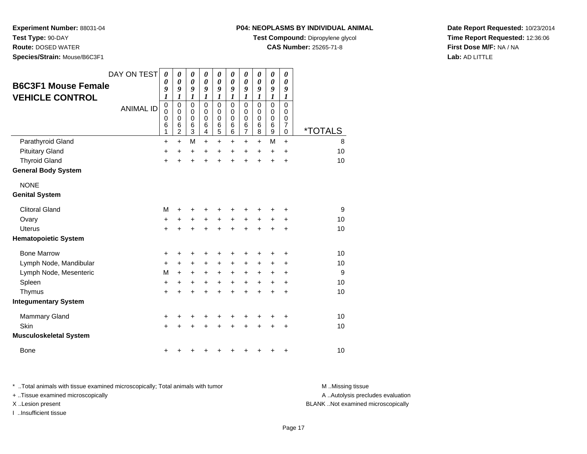**Test Type:** 90-DAY

**Route:** DOSED WATER

**Species/Strain:** Mouse/B6C3F1

#### **P04: NEOPLASMS BY INDIVIDUAL ANIMAL**

**Test Compound:** Dipropylene glycol

**CAS Number:** 25265-71-8

**Date Report Requested:** 10/23/2014**Time Report Requested:** 12:36:06**First Dose M/F:** NA / NA**Lab:** AD LITTLE

| <b>B6C3F1 Mouse Female</b><br><b>VEHICLE CONTROL</b> | DAY ON TEST      | $\boldsymbol{\theta}$<br>0<br>9<br>$\boldsymbol{l}$ | $\boldsymbol{\theta}$<br>$\boldsymbol{\theta}$<br>9<br>1 | 0<br>$\boldsymbol{\theta}$<br>9<br>1                   | 0<br>$\boldsymbol{\theta}$<br>9<br>1      | 0<br>$\boldsymbol{\theta}$<br>9<br>$\boldsymbol{l}$        | 0<br>0<br>9<br>$\boldsymbol{l}$           | 0<br>$\boldsymbol{\theta}$<br>9<br>$\boldsymbol{l}$  | 0<br>$\boldsymbol{\theta}$<br>9<br>$\boldsymbol{l}$ | $\pmb{\theta}$<br>0<br>9<br>$\boldsymbol{l}$ | 0<br>$\boldsymbol{\theta}$<br>9<br>$\boldsymbol{l}$              |                       |
|------------------------------------------------------|------------------|-----------------------------------------------------|----------------------------------------------------------|--------------------------------------------------------|-------------------------------------------|------------------------------------------------------------|-------------------------------------------|------------------------------------------------------|-----------------------------------------------------|----------------------------------------------|------------------------------------------------------------------|-----------------------|
|                                                      | <b>ANIMAL ID</b> | $\pmb{0}$<br>0<br>0<br>6<br>1                       | $\mathbf 0$<br>0<br>$\mathbf 0$<br>6<br>$\overline{c}$   | $\mathbf 0$<br>0<br>$\mathbf 0$<br>6<br>$\overline{3}$ | $\mathbf 0$<br>0<br>$\mathbf 0$<br>6<br>4 | $\mathbf 0$<br>0<br>$\mathbf 0$<br>$\,6$<br>$\overline{5}$ | $\mathbf 0$<br>0<br>$\mathbf 0$<br>6<br>6 | $\mathbf 0$<br>0<br>$\pmb{0}$<br>6<br>$\overline{7}$ | $\Omega$<br>$\Omega$<br>$\mathbf 0$<br>6<br>8       | 0<br>0<br>0<br>$\,6$<br>$\overline{9}$       | $\mathbf 0$<br>$\mathbf 0$<br>0<br>$\overline{7}$<br>$\mathbf 0$ | <i><b>*TOTALS</b></i> |
| Parathyroid Gland                                    |                  | $\ddot{}$                                           | $\ddot{}$                                                | M                                                      | $\ddot{}$                                 | $\ddot{}$                                                  | $\ddot{}$                                 | $\ddot{}$                                            | $\ddot{}$                                           | M                                            | $+$                                                              | 8                     |
| <b>Pituitary Gland</b>                               |                  | $\ddot{}$                                           | $\ddot{}$                                                | $\ddot{}$                                              | $\ddot{}$                                 | $\ddot{}$                                                  | +                                         | +                                                    | $\ddot{}$                                           | +                                            | $\ddot{}$                                                        | 10                    |
| <b>Thyroid Gland</b>                                 |                  | $\ddot{}$                                           | $\ddot{}$                                                | $\ddot{}$                                              | $\ddot{}$                                 | $\ddot{}$                                                  | $\ddot{}$                                 | $\ddot{}$                                            | $\ddot{}$                                           | $\ddot{}$                                    | $\ddot{}$                                                        | 10                    |
| <b>General Body System</b>                           |                  |                                                     |                                                          |                                                        |                                           |                                                            |                                           |                                                      |                                                     |                                              |                                                                  |                       |
| <b>NONE</b>                                          |                  |                                                     |                                                          |                                                        |                                           |                                                            |                                           |                                                      |                                                     |                                              |                                                                  |                       |
| <b>Genital System</b>                                |                  |                                                     |                                                          |                                                        |                                           |                                                            |                                           |                                                      |                                                     |                                              |                                                                  |                       |
| <b>Clitoral Gland</b>                                |                  | M                                                   | +                                                        | +                                                      |                                           |                                                            |                                           |                                                      |                                                     |                                              | +                                                                | 9                     |
| Ovary                                                |                  | +                                                   | +                                                        | +                                                      | +                                         | $\boldsymbol{+}$                                           | +                                         | +                                                    | +                                                   | +                                            | +                                                                | 10                    |
| <b>Uterus</b>                                        |                  | $\ddot{}$                                           |                                                          |                                                        |                                           | +                                                          |                                           | $\ddot{}$                                            |                                                     | $\ddot{}$                                    | $\ddot{}$                                                        | 10                    |
| <b>Hematopoietic System</b>                          |                  |                                                     |                                                          |                                                        |                                           |                                                            |                                           |                                                      |                                                     |                                              |                                                                  |                       |
| <b>Bone Marrow</b>                                   |                  | +                                                   | +                                                        | +                                                      |                                           | +                                                          | +                                         | +                                                    | +                                                   | +                                            | +                                                                | 10                    |
| Lymph Node, Mandibular                               |                  | $\ddot{}$                                           | +                                                        | $\ddot{}$                                              | $\ddot{}$                                 | +                                                          | +                                         | +                                                    | +                                                   | +                                            | +                                                                | 10                    |
| Lymph Node, Mesenteric                               |                  | M                                                   | $\ddot{}$                                                | $\ddot{}$                                              | +                                         | $\ddot{}$                                                  | +                                         | $\ddot{}$                                            | +                                                   | +                                            | $\ddot{}$                                                        | 9                     |
| Spleen                                               |                  | +                                                   | +                                                        | +                                                      | +                                         | +                                                          | +                                         | +                                                    | +                                                   | +                                            | $\ddot{}$                                                        | 10                    |
| Thymus                                               |                  | +                                                   | +                                                        | +                                                      |                                           | +                                                          | $\ddot{}$                                 | $\ddot{}$                                            | $\ddot{}$                                           | $\ddot{}$                                    | $\ddot{}$                                                        | 10                    |
| <b>Integumentary System</b>                          |                  |                                                     |                                                          |                                                        |                                           |                                                            |                                           |                                                      |                                                     |                                              |                                                                  |                       |
| <b>Mammary Gland</b>                                 |                  | +                                                   | +                                                        | +                                                      |                                           | +                                                          | +                                         | +                                                    | +                                                   | +                                            | +                                                                | 10                    |
| Skin                                                 |                  | +                                                   |                                                          |                                                        |                                           |                                                            |                                           |                                                      |                                                     | +                                            | +                                                                | 10                    |
| <b>Musculoskeletal System</b>                        |                  |                                                     |                                                          |                                                        |                                           |                                                            |                                           |                                                      |                                                     |                                              |                                                                  |                       |
| <b>Bone</b>                                          |                  | +                                                   |                                                          |                                                        |                                           |                                                            |                                           |                                                      | +                                                   | +                                            | +                                                                | 10                    |

\* ..Total animals with tissue examined microscopically; Total animals with tumor **M** . Missing tissue M ..Missing tissue + ..Tissue examined microscopically

I ..Insufficient tissue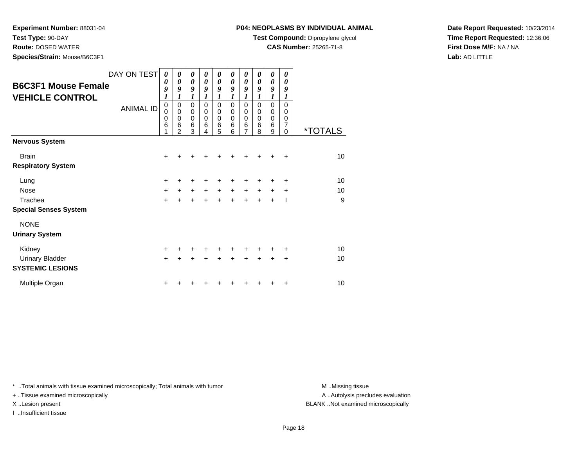**Test Type:** 90-DAY

**Route:** DOSED WATER

**Species/Strain:** Mouse/B6C3F1

### **P04: NEOPLASMS BY INDIVIDUAL ANIMAL**

**Test Compound:** Dipropylene glycol

**CAS Number:** 25265-71-8

**Date Report Requested:** 10/23/2014**Time Report Requested:** 12:36:06**First Dose M/F:** NA / NA**Lab:** AD LITTLE

| <b>B6C3F1 Mouse Female</b><br><b>VEHICLE CONTROL</b> | DAY ON TEST<br><b>ANIMAL ID</b> | 0<br>0<br>9<br>1<br>0<br>0 | 0<br>0<br>9<br>1<br>$\mathbf 0$<br>$\mathbf 0$ | 0<br>0<br>9<br>1<br>$\mathbf 0$<br>$\pmb{0}$ | 0<br>0<br>9<br>1<br>$\mathbf 0$<br>$\mathbf 0$ | 0<br>0<br>9<br>1<br>$\mathbf 0$<br>0 | 0<br>0<br>9<br>$\boldsymbol{l}$<br>$\mathbf 0$<br>0 | 0<br>0<br>9<br>$\boldsymbol{l}$<br>0<br>0 | 0<br>0<br>9<br>1<br>$\Omega$<br>0 | 0<br>$\boldsymbol{\theta}$<br>9<br>$\mathbf{I}$<br>$\mathbf 0$<br>0 | 0<br>0<br>9<br>1<br>0<br>0 |                       |
|------------------------------------------------------|---------------------------------|----------------------------|------------------------------------------------|----------------------------------------------|------------------------------------------------|--------------------------------------|-----------------------------------------------------|-------------------------------------------|-----------------------------------|---------------------------------------------------------------------|----------------------------|-----------------------|
|                                                      |                                 | 0<br>6<br>1                | $\mathbf 0$<br>6<br>$\overline{2}$             | $\mathbf 0$<br>$6\phantom{1}6$<br>3          | $\mathbf 0$<br>6<br>4                          | 0<br>6<br>5                          | 0<br>6<br>6                                         | 0<br>6<br>7                               | $\Omega$<br>6<br>8                | $\mathbf 0$<br>6<br>9                                               | 0<br>7<br>$\Omega$         | <i><b>*TOTALS</b></i> |
| <b>Nervous System</b>                                |                                 |                            |                                                |                                              |                                                |                                      |                                                     |                                           |                                   |                                                                     |                            |                       |
| <b>Brain</b>                                         |                                 | +                          |                                                |                                              |                                                |                                      |                                                     | +                                         | +                                 | ÷                                                                   | $\ddot{}$                  | 10                    |
| <b>Respiratory System</b>                            |                                 |                            |                                                |                                              |                                                |                                      |                                                     |                                           |                                   |                                                                     |                            |                       |
| Lung                                                 |                                 | +                          |                                                | +                                            |                                                | +                                    | +                                                   | +                                         | +                                 | ٠                                                                   | ÷                          | 10                    |
| <b>Nose</b>                                          |                                 | $+$                        | $\ddot{}$                                      | $\ddot{}$                                    | $\ddot{}$                                      | $\ddot{}$                            | $\ddot{}$                                           | $+$                                       | $\ddot{}$                         | $+$                                                                 | $\ddot{}$                  | 10                    |
| Trachea                                              |                                 | $+$                        |                                                | $\ddot{}$                                    | $\ddot{}$                                      | $\ddot{}$                            | $\ddot{}$                                           | $\ddot{}$                                 | $\ddot{}$                         | $\ddot{}$                                                           | -1                         | 9                     |
| <b>Special Senses System</b>                         |                                 |                            |                                                |                                              |                                                |                                      |                                                     |                                           |                                   |                                                                     |                            |                       |
| <b>NONE</b>                                          |                                 |                            |                                                |                                              |                                                |                                      |                                                     |                                           |                                   |                                                                     |                            |                       |
| <b>Urinary System</b>                                |                                 |                            |                                                |                                              |                                                |                                      |                                                     |                                           |                                   |                                                                     |                            |                       |
| Kidney                                               |                                 | $+$                        |                                                | ÷                                            | ÷                                              | ٠                                    | ÷                                                   | ٠                                         | ٠                                 | ٠                                                                   | ÷                          | 10                    |
| <b>Urinary Bladder</b>                               |                                 | $+$                        |                                                |                                              |                                                | +                                    | ÷                                                   | +                                         | $\ddot{}$                         | $\ddot{}$                                                           | $\ddot{}$                  | 10                    |
| <b>SYSTEMIC LESIONS</b>                              |                                 |                            |                                                |                                              |                                                |                                      |                                                     |                                           |                                   |                                                                     |                            |                       |
| Multiple Organ                                       |                                 | +                          |                                                |                                              |                                                |                                      |                                                     |                                           |                                   | +                                                                   | ٠                          | 10                    |

\* ..Total animals with tissue examined microscopically; Total animals with tumor **M** . Missing tissue M ..Missing tissue

+ ..Tissue examined microscopically

I ..Insufficient tissue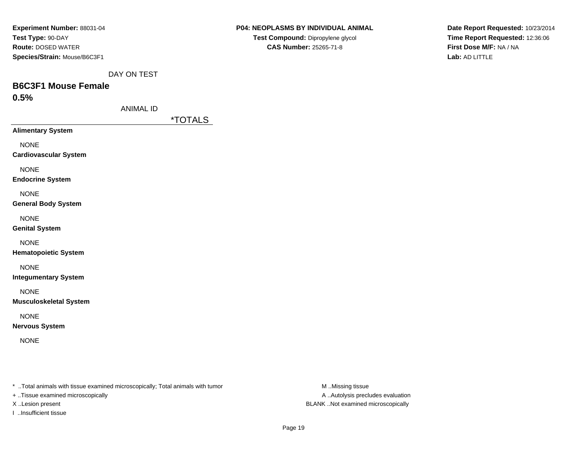| Experiment Number: 88031-04  |
|------------------------------|
| Test Type: 90-DAY            |
| <b>Route: DOSED WATER</b>    |
| Species/Strain: Mouse/B6C3F1 |

**Date Report Requested:** 10/23/2014**Time Report Requested:** 12:36:06**First Dose M/F:** NA / NA**Lab:** AD LITTLE

DAY ON TEST

# **B6C3F1 Mouse Female**

**0.5%**

ANIMAL ID

\*TOTALS

**Alimentary System**

NONE

**Cardiovascular System**

NONE

**Endocrine System**

NONE

**General Body System**

NONE

**Genital System**

NONE

**Hematopoietic System**

NONE

**Integumentary System**

NONE

**Musculoskeletal System**

NONE

**Nervous System**

NONE

\* ..Total animals with tissue examined microscopically; Total animals with tumor **M** ..Missing tissue M ..Missing tissue

+ ..Tissue examined microscopically

I ..Insufficient tissue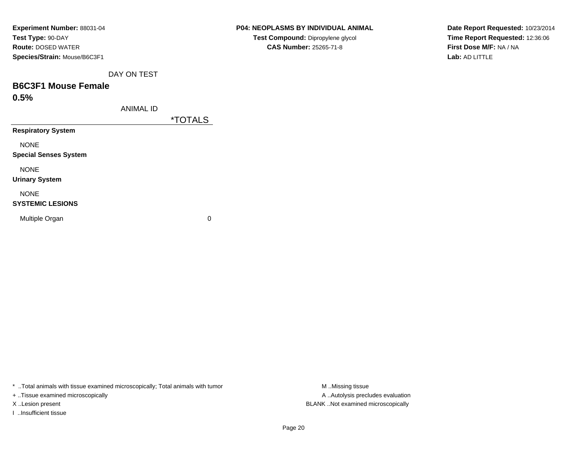| Experiment Number: 88031-04  |
|------------------------------|
| Test Type: 90-DAY            |
| <b>Route: DOSED WATER</b>    |
| Species/Strain: Mouse/B6C3F1 |

# **P04: NEOPLASMS BY INDIVIDUAL ANIMALTest Compound:** Dipropylene glycol **CAS Number:** 25265-71-8

**Date Report Requested:** 10/23/2014**Time Report Requested:** 12:36:06**First Dose M/F:** NA / NA**Lab:** AD LITTLE

DAY ON TEST

# **B6C3F1 Mouse Female**

**0.5%**

ANIMAL ID

\*TOTALS

**Respiratory System**

NONE

**Special Senses System**

NONE

**Urinary System**

NONE

#### **SYSTEMIC LESIONS**

Multiple Organ

 $\mathbf n$  0

\* ..Total animals with tissue examined microscopically; Total animals with tumor **M** ...Missing tissue M ...Missing tissue

+ ..Tissue examined microscopically

I ..Insufficient tissue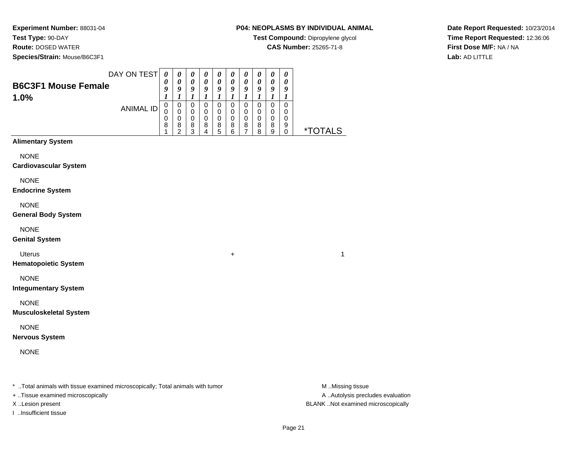**Test Type:** 90-DAY

**Route:** DOSED WATER

**Species/Strain:** Mouse/B6C3F1

# **P04: NEOPLASMS BY INDIVIDUAL ANIMAL**

**Test Compound:** Dipropylene glycol

**CAS Number:** 25265-71-8

**Date Report Requested:** 10/23/2014**Time Report Requested:** 12:36:06**First Dose M/F:** NA / NA**Lab:** AD LITTLE

|                                             | DAY ON TEST      | $\boldsymbol{\theta}$ | $\boldsymbol{\theta}$                     | 0                               | $\boldsymbol{\theta}$                     | $\boldsymbol{\theta}$                     | 0                                  | $\boldsymbol{\theta}$      | $\pmb{\theta}$                  | $\boldsymbol{\theta}$                     | 0                |                       |
|---------------------------------------------|------------------|-----------------------|-------------------------------------------|---------------------------------|-------------------------------------------|-------------------------------------------|------------------------------------|----------------------------|---------------------------------|-------------------------------------------|------------------|-----------------------|
| <b>B6C3F1 Mouse Female</b>                  |                  | 0<br>9                | $\boldsymbol{\theta}$<br>$\boldsymbol{g}$ | $\boldsymbol{\theta}$<br>9      | $\boldsymbol{\theta}$<br>$\boldsymbol{g}$ | $\boldsymbol{\theta}$<br>$\boldsymbol{9}$ | $\pmb{\theta}$<br>$\boldsymbol{g}$ | $\boldsymbol{\theta}$<br>9 | 0<br>9                          | $\boldsymbol{\theta}$<br>$\boldsymbol{g}$ | 0<br>9           |                       |
| 1.0%                                        |                  | $\boldsymbol{l}$      | $\boldsymbol{l}$                          | $\boldsymbol{l}$<br>$\mathbf 0$ | $\boldsymbol{l}$                          | $\boldsymbol{l}$                          | $\boldsymbol{l}$                   | $\boldsymbol{l}$           | $\boldsymbol{l}$<br>$\mathbf 0$ | $\boldsymbol{l}$                          | $\boldsymbol{l}$ |                       |
|                                             | <b>ANIMAL ID</b> | $\mathsf 0$<br>0      | $\mathbf 0$<br>$\pmb{0}$                  | $\pmb{0}$                       | $\mathbf 0$<br>$\mathbf 0$                | $\mathbf 0$<br>0                          | $\pmb{0}$<br>$\,0\,$               | $\mathbf 0$<br>$\pmb{0}$   | 0                               | $\mathbf 0$<br>$\,0\,$                    | $\mathsf 0$<br>0 |                       |
|                                             |                  | 0<br>8                | $\pmb{0}$<br>8                            | $\mathbf 0$<br>$\frac{8}{3}$    | $\mathbf 0$<br>8                          | $\mathbf 0$<br>8                          | $\pmb{0}$<br>8                     | $\pmb{0}$<br>$\frac{8}{7}$ | $\pmb{0}$<br>8                  | $\pmb{0}$<br>8                            | 0<br>9           |                       |
| <b>Alimentary System</b>                    |                  | 1                     | $\overline{c}$                            |                                 | 4                                         | 5                                         | 6                                  |                            | 8                               | $\boldsymbol{9}$                          | 0                | <i><b>*TOTALS</b></i> |
|                                             |                  |                       |                                           |                                 |                                           |                                           |                                    |                            |                                 |                                           |                  |                       |
| <b>NONE</b><br><b>Cardiovascular System</b> |                  |                       |                                           |                                 |                                           |                                           |                                    |                            |                                 |                                           |                  |                       |
| <b>NONE</b>                                 |                  |                       |                                           |                                 |                                           |                                           |                                    |                            |                                 |                                           |                  |                       |
| <b>Endocrine System</b>                     |                  |                       |                                           |                                 |                                           |                                           |                                    |                            |                                 |                                           |                  |                       |
| <b>NONE</b>                                 |                  |                       |                                           |                                 |                                           |                                           |                                    |                            |                                 |                                           |                  |                       |
| <b>General Body System</b>                  |                  |                       |                                           |                                 |                                           |                                           |                                    |                            |                                 |                                           |                  |                       |
| <b>NONE</b>                                 |                  |                       |                                           |                                 |                                           |                                           |                                    |                            |                                 |                                           |                  |                       |
| <b>Genital System</b>                       |                  |                       |                                           |                                 |                                           |                                           |                                    |                            |                                 |                                           |                  |                       |
| <b>Uterus</b>                               |                  |                       |                                           |                                 |                                           |                                           | $\ddot{}$                          |                            |                                 |                                           |                  | 1                     |
| <b>Hematopoietic System</b>                 |                  |                       |                                           |                                 |                                           |                                           |                                    |                            |                                 |                                           |                  |                       |
| <b>NONE</b>                                 |                  |                       |                                           |                                 |                                           |                                           |                                    |                            |                                 |                                           |                  |                       |
| <b>Integumentary System</b>                 |                  |                       |                                           |                                 |                                           |                                           |                                    |                            |                                 |                                           |                  |                       |
| <b>NONE</b>                                 |                  |                       |                                           |                                 |                                           |                                           |                                    |                            |                                 |                                           |                  |                       |
| <b>Musculoskeletal System</b>               |                  |                       |                                           |                                 |                                           |                                           |                                    |                            |                                 |                                           |                  |                       |
| <b>NONE</b>                                 |                  |                       |                                           |                                 |                                           |                                           |                                    |                            |                                 |                                           |                  |                       |
| <b>Nervous System</b>                       |                  |                       |                                           |                                 |                                           |                                           |                                    |                            |                                 |                                           |                  |                       |
| <b>NONE</b>                                 |                  |                       |                                           |                                 |                                           |                                           |                                    |                            |                                 |                                           |                  |                       |
|                                             |                  |                       |                                           |                                 |                                           |                                           |                                    |                            |                                 |                                           |                  |                       |
|                                             |                  |                       |                                           |                                 |                                           |                                           |                                    |                            |                                 |                                           |                  |                       |

\* ..Total animals with tissue examined microscopically; Total animals with tumor **M** . Missing tissue M ..Missing tissue

+ ..Tissue examined microscopically

I ..Insufficient tissue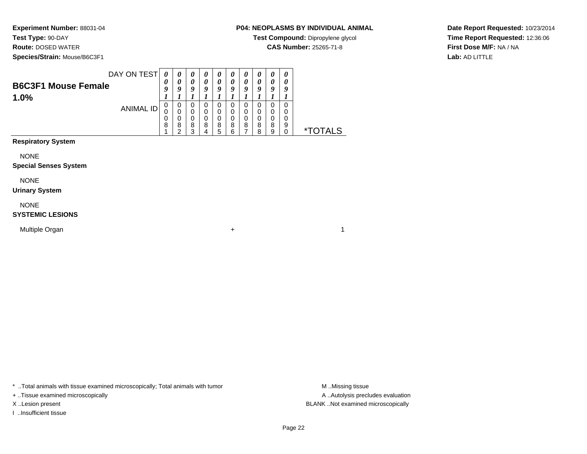**Test Type:** 90-DAY

**Route:** DOSED WATER

**Species/Strain:** Mouse/B6C3F1

# **P04: NEOPLASMS BY INDIVIDUAL ANIMAL**

**Test Compound:** Dipropylene glycol

**CAS Number:** 25265-71-8

**Date Report Requested:** 10/23/2014**Time Report Requested:** 12:36:06**First Dose M/F:** NA / NA**Lab:** AD LITTLE

|                            | DAY ON TEST | 0 | 0 | $\boldsymbol{\theta}$ | $\boldsymbol{\theta}$ | $\boldsymbol{\theta}$ | U | $\boldsymbol{\theta}$ | U | $\boldsymbol{\theta}$ | 0 |
|----------------------------|-------------|---|---|-----------------------|-----------------------|-----------------------|---|-----------------------|---|-----------------------|---|
|                            |             | 0 | 0 | 0                     | 0                     | 0                     | 0 | $\theta$              |   | 0                     | 0 |
| <b>B6C3F1 Mouse Female</b> |             | Q | O | q                     | a                     | Q                     | a | O                     | a | O                     | a |
| 1.0%                       |             |   |   |                       |                       |                       |   |                       |   |                       |   |
|                            |             | 0 | 0 | 0                     | O                     | 0                     | O | $\Omega$              | O | 0                     | 0 |
|                            | ANIMAL ID   | U | 0 | 0                     |                       | 0                     |   | 0                     | 0 | 0                     |   |
|                            |             | 0 | 0 | 0                     | 0                     | 0                     | 0 | 0                     | 0 | 0                     | 0 |
|                            |             | 8 | 8 | 8                     | 8                     | 8                     | 8 | 8                     | 8 | 8                     | 9 |
|                            |             |   | ⌒ | っ                     |                       | 5                     | 6 |                       | я | a                     |   |

# **Respiratory System**

NONE

#### **Special Senses System**

NONE

**1.0%**

#### **Urinary System**

NONE

#### **SYSTEMIC LESIONS**

Multiple Organn  $+$ 

\* ..Total animals with tissue examined microscopically; Total animals with tumor **M** . Missing tissue M ..Missing tissue

+ ..Tissue examined microscopically

I ..Insufficient tissue

A ..Autolysis precludes evaluation X ..Lesion present BLANK ..Not examined microscopically

 $\overline{1}$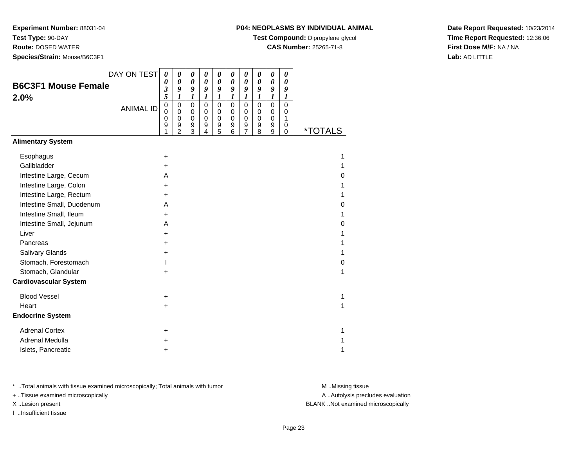**Test Type:** 90-DAY

**Route:** DOSED WATER

**Species/Strain:** Mouse/B6C3F1

### **P04: NEOPLASMS BY INDIVIDUAL ANIMAL**

**Test Compound:** Dipropylene glycol

**CAS Number:** 25265-71-8

**Date Report Requested:** 10/23/2014**Time Report Requested:** 12:36:06**First Dose M/F:** NA / NA**Lab:** AD LITTLE

|                              | DAY ON TEST      | 0                               | $\boldsymbol{\theta}$                                      | 0                                                | 0                                         | 0                                      | 0                                       | 0                                       | 0                                       | $\pmb{\theta}$                        | 0                                          |                       |
|------------------------------|------------------|---------------------------------|------------------------------------------------------------|--------------------------------------------------|-------------------------------------------|----------------------------------------|-----------------------------------------|-----------------------------------------|-----------------------------------------|---------------------------------------|--------------------------------------------|-----------------------|
| <b>B6C3F1 Mouse Female</b>   |                  | 0<br>3                          | $\boldsymbol{\theta}$<br>9                                 | 0<br>9                                           | $\boldsymbol{\theta}$<br>9                | 0<br>9                                 | 0<br>9                                  | $\pmb{\theta}$<br>9                     | 0<br>9                                  | 0<br>9                                | 0<br>9                                     |                       |
| 2.0%                         |                  | 5                               | $\boldsymbol{l}$                                           | 1                                                | 1                                         | 1                                      | 1                                       | 1                                       | 1                                       | $\boldsymbol{l}$                      | 1                                          |                       |
|                              | <b>ANIMAL ID</b> | $\mathbf 0$<br>0<br>0<br>9<br>1 | $\mathbf 0$<br>$\mathbf 0$<br>$\mathbf 0$<br>$\frac{9}{2}$ | $\mathbf 0$<br>$\Omega$<br>$\mathbf 0$<br>9<br>3 | $\mathbf 0$<br>0<br>$\mathbf 0$<br>9<br>4 | 0<br>$\Omega$<br>$\mathbf 0$<br>9<br>5 | $\pmb{0}$<br>0<br>$\mathbf 0$<br>9<br>6 | $\mathbf 0$<br>0<br>$\pmb{0}$<br>9<br>7 | $\mathbf 0$<br>0<br>$\pmb{0}$<br>9<br>8 | $\pmb{0}$<br>0<br>$\pmb{0}$<br>9<br>9 | $\mathbf 0$<br>0<br>$\mathbf{1}$<br>0<br>0 | <i><b>*TOTALS</b></i> |
| <b>Alimentary System</b>     |                  |                                 |                                                            |                                                  |                                           |                                        |                                         |                                         |                                         |                                       |                                            |                       |
| Esophagus                    |                  | $\ddot{}$                       |                                                            |                                                  |                                           |                                        |                                         |                                         |                                         |                                       |                                            |                       |
| Gallbladder                  |                  | $\pm$                           |                                                            |                                                  |                                           |                                        |                                         |                                         |                                         |                                       |                                            |                       |
| Intestine Large, Cecum       |                  | A                               |                                                            |                                                  |                                           |                                        |                                         |                                         |                                         |                                       |                                            | 0                     |
| Intestine Large, Colon       |                  | $\ddot{}$                       |                                                            |                                                  |                                           |                                        |                                         |                                         |                                         |                                       |                                            |                       |
| Intestine Large, Rectum      |                  | $\ddot{}$                       |                                                            |                                                  |                                           |                                        |                                         |                                         |                                         |                                       |                                            |                       |
| Intestine Small, Duodenum    |                  | A                               |                                                            |                                                  |                                           |                                        |                                         |                                         |                                         |                                       |                                            | 0                     |
| Intestine Small, Ileum       |                  | $\ddot{}$                       |                                                            |                                                  |                                           |                                        |                                         |                                         |                                         |                                       |                                            |                       |
| Intestine Small, Jejunum     |                  | A                               |                                                            |                                                  |                                           |                                        |                                         |                                         |                                         |                                       |                                            | 0                     |
| Liver                        |                  | +                               |                                                            |                                                  |                                           |                                        |                                         |                                         |                                         |                                       |                                            |                       |
| Pancreas                     |                  | $\ddot{}$                       |                                                            |                                                  |                                           |                                        |                                         |                                         |                                         |                                       |                                            |                       |
| Salivary Glands              |                  | +                               |                                                            |                                                  |                                           |                                        |                                         |                                         |                                         |                                       |                                            |                       |
| Stomach, Forestomach         |                  |                                 |                                                            |                                                  |                                           |                                        |                                         |                                         |                                         |                                       |                                            | 0                     |
| Stomach, Glandular           |                  | +                               |                                                            |                                                  |                                           |                                        |                                         |                                         |                                         |                                       |                                            | 1                     |
| <b>Cardiovascular System</b> |                  |                                 |                                                            |                                                  |                                           |                                        |                                         |                                         |                                         |                                       |                                            |                       |
| <b>Blood Vessel</b>          |                  | +                               |                                                            |                                                  |                                           |                                        |                                         |                                         |                                         |                                       |                                            | 1                     |
| Heart                        |                  | $\ddot{}$                       |                                                            |                                                  |                                           |                                        |                                         |                                         |                                         |                                       |                                            | 1                     |
| <b>Endocrine System</b>      |                  |                                 |                                                            |                                                  |                                           |                                        |                                         |                                         |                                         |                                       |                                            |                       |
| <b>Adrenal Cortex</b>        |                  | $\ddot{}$                       |                                                            |                                                  |                                           |                                        |                                         |                                         |                                         |                                       |                                            |                       |
| Adrenal Medulla              |                  | +                               |                                                            |                                                  |                                           |                                        |                                         |                                         |                                         |                                       |                                            |                       |
| Islets, Pancreatic           |                  | ٠                               |                                                            |                                                  |                                           |                                        |                                         |                                         |                                         |                                       |                                            |                       |

\* ..Total animals with tissue examined microscopically; Total animals with tumor **M** . Missing tissue M ..Missing tissue

+ ..Tissue examined microscopically

I ..Insufficient tissue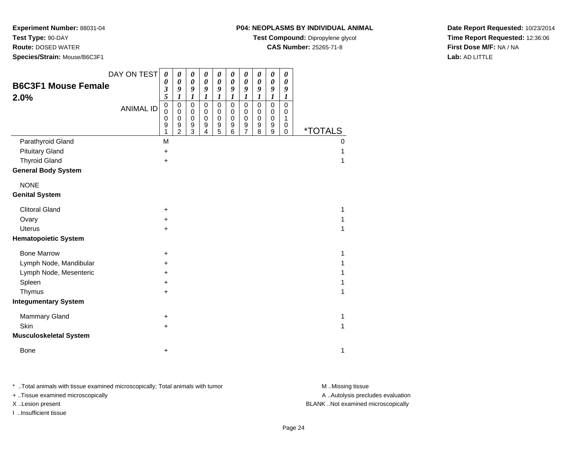**Test Type:** 90-DAY

**Route:** DOSED WATER

**Species/Strain:** Mouse/B6C3F1

### **P04: NEOPLASMS BY INDIVIDUAL ANIMAL**

**Test Compound:** Dipropylene glycol

**CAS Number:** 25265-71-8

**Date Report Requested:** 10/23/2014**Time Report Requested:** 12:36:06**First Dose M/F:** NA / NA**Lab:** AD LITTLE

|                                    | DAY ON TEST      | $\boldsymbol{\theta}$                     | $\boldsymbol{\theta}$                                | 0                                         | $\pmb{\theta}$                                         | $\boldsymbol{\theta}$                                    | $\boldsymbol{\theta}$                                        | $\pmb{\theta}$                                                      | $\boldsymbol{\theta}$                   | 0                                              | $\boldsymbol{\theta}$                     |                       |
|------------------------------------|------------------|-------------------------------------------|------------------------------------------------------|-------------------------------------------|--------------------------------------------------------|----------------------------------------------------------|--------------------------------------------------------------|---------------------------------------------------------------------|-----------------------------------------|------------------------------------------------|-------------------------------------------|-----------------------|
| <b>B6C3F1 Mouse Female</b><br>2.0% |                  | 0<br>3<br>5                               | $\boldsymbol{\theta}$<br>9<br>$\boldsymbol{l}$       | $\pmb{\theta}$<br>9<br>1                  | $\boldsymbol{\theta}$<br>9<br>1                        | $\boldsymbol{\theta}$<br>9<br>1                          | $\boldsymbol{\theta}$<br>9<br>$\boldsymbol{l}$               | $\boldsymbol{\theta}$<br>9<br>1                                     | 0<br>9<br>1                             | $\pmb{\theta}$<br>9<br>$\boldsymbol{l}$        | 0<br>9<br>1                               |                       |
|                                    | <b>ANIMAL ID</b> | $\mathbf 0$<br>$\mathbf 0$<br>0<br>9<br>1 | $\pmb{0}$<br>$\pmb{0}$<br>$\pmb{0}$<br>$\frac{9}{2}$ | $\mathbf 0$<br>$\mathbf 0$<br>0<br>9<br>3 | $\mathbf 0$<br>$\pmb{0}$<br>0<br>$\boldsymbol{9}$<br>4 | $\mathbf 0$<br>$\mathbf 0$<br>0<br>$\boldsymbol{9}$<br>5 | $\pmb{0}$<br>$\pmb{0}$<br>$\pmb{0}$<br>$\boldsymbol{9}$<br>6 | $\pmb{0}$<br>$\mathbf 0$<br>0<br>$\boldsymbol{9}$<br>$\overline{7}$ | $\mathbf 0$<br>$\pmb{0}$<br>0<br>9<br>8 | $\mathbf 0$<br>0<br>0<br>$\boldsymbol{9}$<br>9 | $\mathbf 0$<br>0<br>1<br>0<br>$\mathbf 0$ | <i><b>*TOTALS</b></i> |
| Parathyroid Gland                  |                  | M                                         |                                                      |                                           |                                                        |                                                          |                                                              |                                                                     |                                         |                                                |                                           | $\Omega$              |
| <b>Pituitary Gland</b>             |                  | $\ddot{}$                                 |                                                      |                                           |                                                        |                                                          |                                                              |                                                                     |                                         |                                                |                                           |                       |
| <b>Thyroid Gland</b>               |                  | +                                         |                                                      |                                           |                                                        |                                                          |                                                              |                                                                     |                                         |                                                |                                           |                       |
| <b>General Body System</b>         |                  |                                           |                                                      |                                           |                                                        |                                                          |                                                              |                                                                     |                                         |                                                |                                           |                       |
| <b>NONE</b>                        |                  |                                           |                                                      |                                           |                                                        |                                                          |                                                              |                                                                     |                                         |                                                |                                           |                       |
| <b>Genital System</b>              |                  |                                           |                                                      |                                           |                                                        |                                                          |                                                              |                                                                     |                                         |                                                |                                           |                       |
| <b>Clitoral Gland</b>              |                  | +                                         |                                                      |                                           |                                                        |                                                          |                                                              |                                                                     |                                         |                                                |                                           | 1                     |
| Ovary                              |                  | +                                         |                                                      |                                           |                                                        |                                                          |                                                              |                                                                     |                                         |                                                |                                           |                       |
| <b>Uterus</b>                      |                  | $\ddot{}$                                 |                                                      |                                           |                                                        |                                                          |                                                              |                                                                     |                                         |                                                |                                           | 1                     |
| <b>Hematopoietic System</b>        |                  |                                           |                                                      |                                           |                                                        |                                                          |                                                              |                                                                     |                                         |                                                |                                           |                       |
| <b>Bone Marrow</b>                 |                  | +                                         |                                                      |                                           |                                                        |                                                          |                                                              |                                                                     |                                         |                                                |                                           | 1                     |
| Lymph Node, Mandibular             |                  | +                                         |                                                      |                                           |                                                        |                                                          |                                                              |                                                                     |                                         |                                                |                                           |                       |
| Lymph Node, Mesenteric             |                  | +                                         |                                                      |                                           |                                                        |                                                          |                                                              |                                                                     |                                         |                                                |                                           |                       |
| Spleen                             |                  | $\ddot{}$                                 |                                                      |                                           |                                                        |                                                          |                                                              |                                                                     |                                         |                                                |                                           |                       |
| Thymus                             |                  | $\ddot{}$                                 |                                                      |                                           |                                                        |                                                          |                                                              |                                                                     |                                         |                                                |                                           | 1                     |
| <b>Integumentary System</b>        |                  |                                           |                                                      |                                           |                                                        |                                                          |                                                              |                                                                     |                                         |                                                |                                           |                       |
| <b>Mammary Gland</b>               |                  | +                                         |                                                      |                                           |                                                        |                                                          |                                                              |                                                                     |                                         |                                                |                                           | 1                     |
| Skin                               |                  | $\ddot{}$                                 |                                                      |                                           |                                                        |                                                          |                                                              |                                                                     |                                         |                                                |                                           | 1                     |
| <b>Musculoskeletal System</b>      |                  |                                           |                                                      |                                           |                                                        |                                                          |                                                              |                                                                     |                                         |                                                |                                           |                       |
| <b>Bone</b>                        |                  | +                                         |                                                      |                                           |                                                        |                                                          |                                                              |                                                                     |                                         |                                                |                                           | 1                     |

\* ..Total animals with tissue examined microscopically; Total animals with tumor **M** . Missing tissue M ..Missing tissue

+ ..Tissue examined microscopically

I ..Insufficient tissue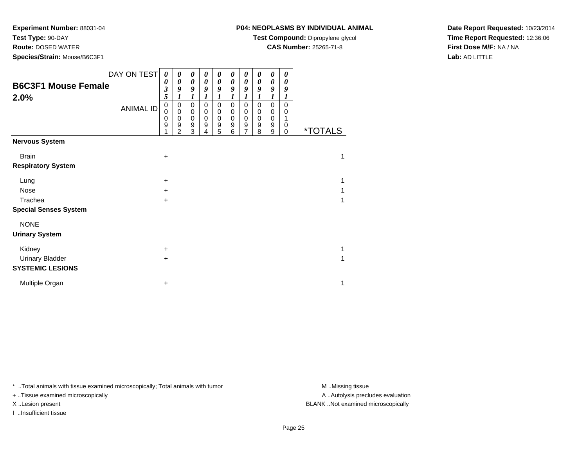**Test Type:** 90-DAY

**Route:** DOSED WATER

**Species/Strain:** Mouse/B6C3F1

**Test Compound:** Dipropylene glycol

**CAS Number:** 25265-71-8

**Date Report Requested:** 10/23/2014**Time Report Requested:** 12:36:06**First Dose M/F:** NA / NA**Lab:** AD LITTLE

| DAY ON TEST                        | 0                                 | 0                                  | 0                               | 0                                     | 0                                         | 0                                         | 0                                                            | 0                               | 0                                       | 0                     |                       |
|------------------------------------|-----------------------------------|------------------------------------|---------------------------------|---------------------------------------|-------------------------------------------|-------------------------------------------|--------------------------------------------------------------|---------------------------------|-----------------------------------------|-----------------------|-----------------------|
| <b>B6C3F1 Mouse Female</b><br>2.0% | 0<br>$\overline{\mathbf{3}}$<br>5 | 0<br>9<br>1                        | 0<br>9<br>1                     | 0<br>9                                | 0<br>9                                    | 0<br>9<br>1                               | 0<br>9                                                       | 0<br>9<br>1                     | $\boldsymbol{\theta}$<br>9<br>1         | 0<br>9<br>1           |                       |
| <b>ANIMAL ID</b>                   | 0<br>0<br>0<br>9                  | 0<br>0<br>0<br>9<br>$\overline{2}$ | 0<br>0<br>$\mathbf 0$<br>9<br>3 | 0<br>$\pmb{0}$<br>$\pmb{0}$<br>9<br>4 | 0<br>$\mathbf 0$<br>$\mathbf 0$<br>9<br>5 | $\mathbf 0$<br>0<br>$\mathbf 0$<br>9<br>6 | $\pmb{0}$<br>$\mathbf 0$<br>$\pmb{0}$<br>9<br>$\overline{7}$ | 0<br>0<br>$\mathbf 0$<br>9<br>8 | 0<br>$\pmb{0}$<br>$\mathbf 0$<br>9<br>9 | 0<br>0<br>1<br>0<br>0 | <i><b>*TOTALS</b></i> |
| <b>Nervous System</b>              |                                   |                                    |                                 |                                       |                                           |                                           |                                                              |                                 |                                         |                       |                       |
| <b>Brain</b>                       | +                                 |                                    |                                 |                                       |                                           |                                           |                                                              |                                 |                                         |                       | 1                     |
| <b>Respiratory System</b>          |                                   |                                    |                                 |                                       |                                           |                                           |                                                              |                                 |                                         |                       |                       |
| Lung                               | $\ddot{}$                         |                                    |                                 |                                       |                                           |                                           |                                                              |                                 |                                         |                       | 1                     |
| Nose                               | $\ddot{}$                         |                                    |                                 |                                       |                                           |                                           |                                                              |                                 |                                         |                       |                       |
| Trachea                            | +                                 |                                    |                                 |                                       |                                           |                                           |                                                              |                                 |                                         |                       |                       |
| <b>Special Senses System</b>       |                                   |                                    |                                 |                                       |                                           |                                           |                                                              |                                 |                                         |                       |                       |
| <b>NONE</b>                        |                                   |                                    |                                 |                                       |                                           |                                           |                                                              |                                 |                                         |                       |                       |
| <b>Urinary System</b>              |                                   |                                    |                                 |                                       |                                           |                                           |                                                              |                                 |                                         |                       |                       |
| Kidney                             | $\ddot{}$                         |                                    |                                 |                                       |                                           |                                           |                                                              |                                 |                                         |                       | 1                     |
| <b>Urinary Bladder</b>             | $\ddot{}$                         |                                    |                                 |                                       |                                           |                                           |                                                              |                                 |                                         |                       |                       |
| <b>SYSTEMIC LESIONS</b>            |                                   |                                    |                                 |                                       |                                           |                                           |                                                              |                                 |                                         |                       |                       |
| Multiple Organ                     | +                                 |                                    |                                 |                                       |                                           |                                           |                                                              |                                 |                                         |                       | 1                     |

\* ..Total animals with tissue examined microscopically; Total animals with tumor **M** . Missing tissue M ..Missing tissue

+ ..Tissue examined microscopically

I ..Insufficient tissue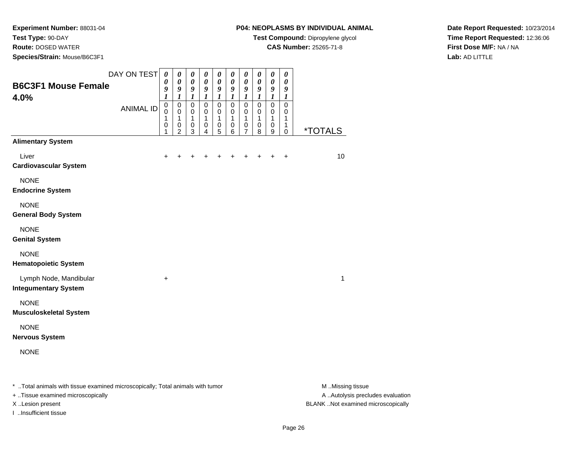**Test Type:** 90-DAY

**Route:** DOSED WATER

**Species/Strain:** Mouse/B6C3F1

# **P04: NEOPLASMS BY INDIVIDUAL ANIMAL**

**Test Compound:** Dipropylene glycol

**CAS Number:** 25265-71-8

**Date Report Requested:** 10/23/2014**Time Report Requested:** 12:36:06**First Dose M/F:** NA / NA**Lab:** AD LITTLE

| <b>B6C3F1 Mouse Female</b><br>4.0%                                             | DAY ON TEST      | $\boldsymbol{\theta}$<br>0<br>9<br>1    | 0<br>0<br>9<br>1                                       | $\pmb{\theta}$<br>$\boldsymbol{\theta}$<br>9<br>1 | 0<br>0<br>9<br>1      | 0<br>$\boldsymbol{\theta}$<br>9<br>1 | 0<br>$\boldsymbol{\theta}$<br>9<br>$\boldsymbol{l}$ | $\boldsymbol{\theta}$<br>$\boldsymbol{\theta}$<br>9<br>1 | $\boldsymbol{\theta}$<br>$\boldsymbol{\theta}$<br>9<br>$\boldsymbol{l}$ | 0<br>$\boldsymbol{\theta}$<br>9<br>1 | $\boldsymbol{\theta}$<br>$\boldsymbol{\theta}$<br>9<br>1 |                       |
|--------------------------------------------------------------------------------|------------------|-----------------------------------------|--------------------------------------------------------|---------------------------------------------------|-----------------------|--------------------------------------|-----------------------------------------------------|----------------------------------------------------------|-------------------------------------------------------------------------|--------------------------------------|----------------------------------------------------------|-----------------------|
|                                                                                | <b>ANIMAL ID</b> | $\pmb{0}$<br>$\mathbf 0$<br>1<br>0<br>1 | $\mathbf 0$<br>$\mathbf 0$<br>1<br>0<br>$\overline{c}$ | $\pmb{0}$<br>0<br>1<br>0<br>$\mathfrak{S}$        | 0<br>0<br>1<br>0<br>4 | $\pmb{0}$<br>0<br>1<br>0<br>5        | $\mathbf 0$<br>0<br>1<br>$\pmb{0}$<br>$\,6$         | $\mathbf 0$<br>0<br>1<br>0<br>7                          | $\pmb{0}$<br>$\mathbf 0$<br>1<br>0<br>8                                 | $\pmb{0}$<br>0<br>1<br>0<br>9        | $\mathbf 0$<br>0<br>1<br>1<br>0                          | <i><b>*TOTALS</b></i> |
| <b>Alimentary System</b>                                                       |                  |                                         |                                                        |                                                   |                       |                                      |                                                     |                                                          |                                                                         |                                      |                                                          |                       |
| Liver<br><b>Cardiovascular System</b>                                          |                  | $\ddot{}$                               | $\ddot{}$                                              | +                                                 | $\ddot{}$             | ٠                                    | $\pm$                                               | +                                                        | $\ddot{}$                                                               | $\ddot{}$                            | $\ddot{}$                                                | 10                    |
| <b>NONE</b><br><b>Endocrine System</b>                                         |                  |                                         |                                                        |                                                   |                       |                                      |                                                     |                                                          |                                                                         |                                      |                                                          |                       |
| <b>NONE</b><br><b>General Body System</b>                                      |                  |                                         |                                                        |                                                   |                       |                                      |                                                     |                                                          |                                                                         |                                      |                                                          |                       |
| <b>NONE</b><br><b>Genital System</b>                                           |                  |                                         |                                                        |                                                   |                       |                                      |                                                     |                                                          |                                                                         |                                      |                                                          |                       |
| <b>NONE</b><br><b>Hematopoietic System</b>                                     |                  |                                         |                                                        |                                                   |                       |                                      |                                                     |                                                          |                                                                         |                                      |                                                          |                       |
| Lymph Node, Mandibular<br><b>Integumentary System</b>                          |                  | $\ddot{}$                               |                                                        |                                                   |                       |                                      |                                                     |                                                          |                                                                         |                                      |                                                          | 1                     |
| <b>NONE</b><br><b>Musculoskeletal System</b>                                   |                  |                                         |                                                        |                                                   |                       |                                      |                                                     |                                                          |                                                                         |                                      |                                                          |                       |
| <b>NONE</b><br><b>Nervous System</b>                                           |                  |                                         |                                                        |                                                   |                       |                                      |                                                     |                                                          |                                                                         |                                      |                                                          |                       |
| <b>NONE</b>                                                                    |                  |                                         |                                                        |                                                   |                       |                                      |                                                     |                                                          |                                                                         |                                      |                                                          |                       |
| * Total animals with tissue examined microscopically; Total animals with tumor |                  |                                         |                                                        |                                                   |                       |                                      |                                                     |                                                          |                                                                         |                                      |                                                          | M Missing tissue      |

+ ..Tissue examined microscopically

I ..Insufficient tissue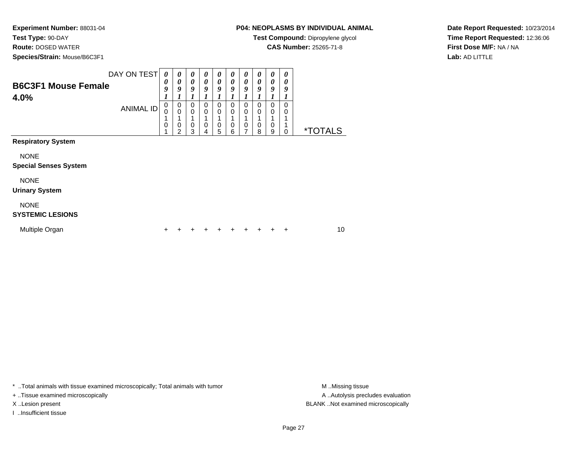**Test Type:** 90-DAY

**Route:** DOSED WATER

**Species/Strain:** Mouse/B6C3F1

# **P04: NEOPLASMS BY INDIVIDUAL ANIMAL**

**Test Compound:** Dipropylene glycol

**CAS Number:** 25265-71-8

**Date Report Requested:** 10/23/2014**Time Report Requested:** 12:36:06**First Dose M/F:** NA / NA**Lab:** AD LITTLE

| DAY ON TEST<br><b>B6C3F1 Mouse Female</b><br>4.0% |                  | 0<br>0<br>9<br>1 | 0<br>0<br>9                             | 0<br>0<br>9      | 0<br>$\boldsymbol{\theta}$<br>9 | 0<br>0<br>9           | 0<br>0<br>9<br>$\boldsymbol{l}$ | $\boldsymbol{\theta}$<br>0<br>9      | 0<br>0<br>9<br>1                | 0<br>0<br>9      | 0<br>0<br>9<br>1 |                       |
|---------------------------------------------------|------------------|------------------|-----------------------------------------|------------------|---------------------------------|-----------------------|---------------------------------|--------------------------------------|---------------------------------|------------------|------------------|-----------------------|
|                                                   | <b>ANIMAL ID</b> | 0<br>0<br>4<br>0 | 0<br>$\mathbf 0$<br>0<br>$\mathfrak{p}$ | 0<br>0<br>0<br>3 | $\mathbf 0$<br>0<br>1<br>0<br>4 | 0<br>0<br>1<br>0<br>5 | 0<br>$\mathbf 0$<br>0<br>6      | 0<br>$\mathbf 0$<br>$\mathbf 0$<br>7 | 0<br>$\mathbf 0$<br>1<br>0<br>8 | 0<br>0<br>0<br>9 | 0<br>0<br>1<br>0 | <i><b>*TOTALS</b></i> |
| <b>Respiratory System</b>                         |                  |                  |                                         |                  |                                 |                       |                                 |                                      |                                 |                  |                  |                       |
| <b>NONE</b><br><b>Special Senses System</b>       |                  |                  |                                         |                  |                                 |                       |                                 |                                      |                                 |                  |                  |                       |
| <b>NONE</b><br><b>Urinary System</b>              |                  |                  |                                         |                  |                                 |                       |                                 |                                      |                                 |                  |                  |                       |
| <b>NONE</b><br><b>SYSTEMIC LESIONS</b>            |                  |                  |                                         |                  |                                 |                       |                                 |                                      |                                 |                  |                  |                       |
| Multiple Organ                                    |                  | ٠                |                                         |                  | +                               | ٠                     | ٠                               | ÷                                    |                                 | ٠                | ÷                | 10                    |

\* ..Total animals with tissue examined microscopically; Total animals with tumor **M** . Missing tissue M ..Missing tissue

+ ..Tissue examined microscopically

I ..Insufficient tissue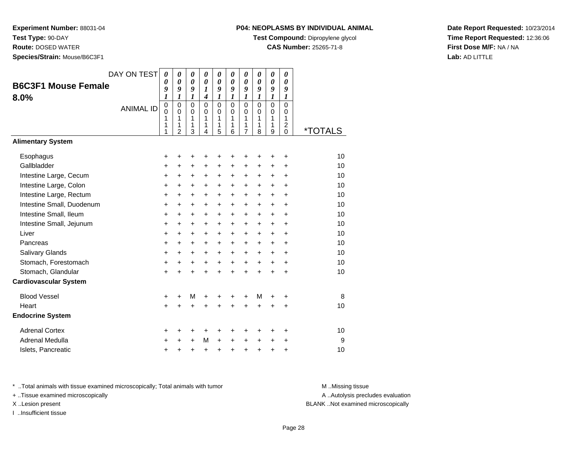**Test Type:** 90-DAY

**Route:** DOSED WATER

**Species/Strain:** Mouse/B6C3F1

# **P04: NEOPLASMS BY INDIVIDUAL ANIMAL**

**Test Compound:** Dipropylene glycol

**CAS Number:** 25265-71-8

**Date Report Requested:** 10/23/2014**Time Report Requested:** 12:36:06**First Dose M/F:** NA / NA**Lab:** AD LITTLE

|                              | DAY ON TEST      | $\boldsymbol{\theta}$<br>$\boldsymbol{\theta}$ | $\boldsymbol{\theta}$<br>$\boldsymbol{\theta}$      | 0<br>$\boldsymbol{\theta}$             | 0<br>$\boldsymbol{\theta}$           | 0<br>$\boldsymbol{\theta}$             | 0<br>0                                 | 0<br>0                                              | 0<br>$\boldsymbol{\theta}$             | 0<br>$\boldsymbol{\theta}$      | 0<br>0                                                 |                       |
|------------------------------|------------------|------------------------------------------------|-----------------------------------------------------|----------------------------------------|--------------------------------------|----------------------------------------|----------------------------------------|-----------------------------------------------------|----------------------------------------|---------------------------------|--------------------------------------------------------|-----------------------|
| <b>B6C3F1 Mouse Female</b>   |                  | 9<br>1                                         | 9<br>$\boldsymbol{l}$                               | 9<br>1                                 | $\boldsymbol{l}$<br>$\boldsymbol{4}$ | 9<br>$\boldsymbol{l}$                  | 9<br>1                                 | 9<br>1                                              | 9<br>1                                 | 9<br>1                          | 9<br>$\boldsymbol{l}$                                  |                       |
| 8.0%                         | <b>ANIMAL ID</b> | $\pmb{0}$<br>$\Omega$<br>1<br>1<br>1           | $\mathbf 0$<br>$\Omega$<br>1<br>1<br>$\overline{2}$ | $\mathbf 0$<br>$\Omega$<br>1<br>1<br>3 | $\Omega$<br>$\Omega$<br>1<br>1<br>4  | $\mathbf 0$<br>$\Omega$<br>1<br>1<br>5 | $\mathbf 0$<br>$\Omega$<br>1<br>1<br>6 | $\mathbf 0$<br>$\Omega$<br>1<br>1<br>$\overline{7}$ | $\mathbf 0$<br>$\Omega$<br>1<br>1<br>8 | $\mathbf 0$<br>0<br>1<br>1<br>9 | $\mathbf 0$<br>0<br>1<br>$\overline{c}$<br>$\mathbf 0$ | <i><b>*TOTALS</b></i> |
| <b>Alimentary System</b>     |                  |                                                |                                                     |                                        |                                      |                                        |                                        |                                                     |                                        |                                 |                                                        |                       |
| Esophagus                    |                  | +                                              | +                                                   | +                                      | +                                    | +                                      | +                                      | +                                                   | +                                      | +                               | ÷                                                      | 10                    |
| Gallbladder                  |                  | +                                              | +                                                   | $\ddot{}$                              | +                                    | $\ddot{}$                              | $\ddot{}$                              | $\ddot{}$                                           | $\ddot{}$                              | $\ddot{}$                       | $\ddot{}$                                              | 10                    |
| Intestine Large, Cecum       |                  | +                                              | $\ddot{}$                                           | +                                      | +                                    | +                                      | +                                      | +                                                   | +                                      | +                               | +                                                      | 10                    |
| Intestine Large, Colon       |                  | $\ddot{}$                                      | $\ddot{}$                                           | $\ddot{}$                              | $\ddot{}$                            | $\ddot{}$                              | $\ddot{}$                              | $\pm$                                               | +                                      | $\ddot{}$                       | +                                                      | 10                    |
| Intestine Large, Rectum      |                  | $\ddot{}$                                      | $\ddot{}$                                           | $\ddot{}$                              | $\ddot{}$                            | $\ddot{}$                              | $\ddot{}$                              | +                                                   | $\ddot{}$                              | $\ddot{}$                       | $\ddot{}$                                              | 10                    |
| Intestine Small, Duodenum    |                  | $\ddot{}$                                      | $\ddot{}$                                           | $\ddot{}$                              | $\ddot{}$                            | $\ddot{}$                              | $\ddot{}$                              | +                                                   | $\ddot{}$                              | $\ddot{}$                       | $\ddot{}$                                              | 10                    |
| Intestine Small, Ileum       |                  | +                                              | $\ddot{}$                                           | $\ddot{}$                              | $\ddot{}$                            | $\ddot{}$                              | +                                      | +                                                   | +                                      | $\ddot{}$                       | $\ddot{}$                                              | 10                    |
| Intestine Small, Jejunum     |                  | $\ddot{}$                                      | $\ddot{}$                                           | $\ddot{}$                              | $\ddot{}$                            | $\pm$                                  | $\ddot{}$                              | $\pm$                                               | $\ddot{}$                              | $\ddot{}$                       | +                                                      | 10                    |
| Liver                        |                  | $\ddot{}$                                      | $\ddot{}$                                           | $\ddot{}$                              | $\ddot{}$                            | $\ddot{}$                              | $\ddot{}$                              | +                                                   | $\ddot{}$                              | $\ddot{}$                       | $\ddot{}$                                              | 10                    |
| Pancreas                     |                  | +                                              | +                                                   | $\ddot{}$                              | +                                    | $\ddot{}$                              | $\ddot{}$                              | +                                                   | $\ddot{}$                              | $\ddot{}$                       | $\ddot{}$                                              | 10                    |
| Salivary Glands              |                  | $\ddot{}$                                      | $\ddot{}$                                           | $\ddot{}$                              | $\ddot{}$                            | $\ddot{}$                              | $\ddot{}$                              | $\ddot{}$                                           | $\ddot{}$                              | $\ddot{}$                       | $\ddot{}$                                              | 10                    |
| Stomach, Forestomach         |                  | $\ddot{}$                                      | $\ddot{}$                                           | +                                      | $\ddot{}$                            | $\ddot{}$                              | $\ddot{}$                              | $\ddot{}$                                           | $\ddot{}$                              | $\ddot{}$                       | $\ddot{}$                                              | 10                    |
| Stomach, Glandular           |                  | $\ddot{}$                                      |                                                     | $\ddot{}$                              | $\ddot{}$                            | $\ddot{}$                              | $\ddot{}$                              | $\ddot{}$                                           | $\ddot{}$                              | $\ddot{}$                       | $\ddot{}$                                              | 10                    |
| <b>Cardiovascular System</b> |                  |                                                |                                                     |                                        |                                      |                                        |                                        |                                                     |                                        |                                 |                                                        |                       |
| <b>Blood Vessel</b>          |                  | +                                              | +                                                   | M                                      | +                                    | +                                      | +                                      | +                                                   | M                                      | +                               | +                                                      | 8                     |
| Heart                        |                  | $\ddot{}$                                      |                                                     | $\ddot{}$                              | +                                    | +                                      | Ŧ.                                     | +                                                   | $\ddot{}$                              | +                               | +                                                      | 10                    |
| <b>Endocrine System</b>      |                  |                                                |                                                     |                                        |                                      |                                        |                                        |                                                     |                                        |                                 |                                                        |                       |
| <b>Adrenal Cortex</b>        |                  | +                                              | ٠                                                   | +                                      | +                                    | +                                      | ٠                                      | ٠                                                   | ٠                                      | ٠                               | ٠                                                      | 10                    |
| Adrenal Medulla              |                  | +                                              |                                                     | $\ddot{}$                              | М                                    | $\ddot{}$                              | $\ddot{}$                              | $\ddot{}$                                           | $\ddot{}$                              | $\ddot{}$                       | +                                                      | 9                     |
| Islets, Pancreatic           |                  | +                                              | +                                                   | +                                      | $\ddot{}$                            | $\ddot{}$                              | +                                      | +                                                   | +                                      | +                               | +                                                      | 10                    |

\* ..Total animals with tissue examined microscopically; Total animals with tumor **M** . Missing tissue M ..Missing tissue

+ ..Tissue examined microscopically

I ..Insufficient tissue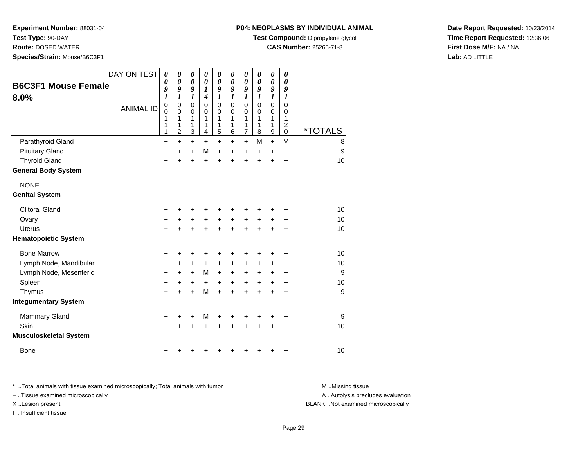**Test Type:** 90-DAY

**Route:** DOSED WATER

**Species/Strain:** Mouse/B6C3F1

#### **P04: NEOPLASMS BY INDIVIDUAL ANIMAL**

**Test Compound:** Dipropylene glycol

**CAS Number:** 25265-71-8

**Date Report Requested:** 10/23/2014**Time Report Requested:** 12:36:06**First Dose M/F:** NA / NA**Lab:** AD LITTLE

| <b>B6C3F1 Mouse Female</b><br>$8.0\%$       | DAY ON TEST<br><b>ANIMAL ID</b> | 0<br>0<br>9<br>1<br>$\mathbf 0$<br>0 | 0<br>0<br>9<br>$\boldsymbol{l}$<br>$\mathsf 0$<br>$\mathbf 0$ | 0<br>0<br>9<br>1<br>0<br>0 | 0<br>0<br>1<br>4<br>$\mathbf 0$<br>0 | 0<br>0<br>9<br>$\boldsymbol{l}$<br>$\mathbf 0$<br>$\mathbf 0$ | 0<br>0<br>9<br>1<br>0<br>0 | 0<br>0<br>9<br>1<br>$\mathbf 0$<br>0 | 0<br>$\boldsymbol{\theta}$<br>9<br>1<br>$\mathbf 0$<br>$\Omega$ | 0<br>0<br>9<br>1<br>$\mathbf 0$<br>0 | 0<br>$\boldsymbol{\theta}$<br>9<br>1<br>$\mathbf 0$<br>0 |                       |
|---------------------------------------------|---------------------------------|--------------------------------------|---------------------------------------------------------------|----------------------------|--------------------------------------|---------------------------------------------------------------|----------------------------|--------------------------------------|-----------------------------------------------------------------|--------------------------------------|----------------------------------------------------------|-----------------------|
|                                             |                                 | 1<br>1                               | 1<br>1                                                        | 1<br>1                     | 1<br>1                               | 1<br>1                                                        | 1<br>1                     | 1<br>1                               | 1<br>1                                                          | 1<br>1                               | 1<br>$\overline{\mathbf{c}}$                             |                       |
|                                             |                                 | 1                                    | $\overline{2}$                                                | 3                          | 4                                    | 5                                                             | 6                          | 7                                    | 8                                                               | 9                                    | 0<br>M                                                   | <i><b>*TOTALS</b></i> |
| Parathyroid Gland<br><b>Pituitary Gland</b> |                                 | $\ddot{}$                            | $\ddot{}$                                                     | $\ddot{}$                  | $\ddot{}$<br>M                       | $\ddot{}$                                                     | $\ddot{}$                  | $\ddot{}$                            | M                                                               | $\ddot{}$                            |                                                          | 8<br>9                |
| <b>Thyroid Gland</b>                        |                                 | +<br>$\ddot{}$                       | +<br>$\ddot{}$                                                | +<br>$\ddot{}$             | +                                    | $\ddot{}$<br>+                                                | +<br>+                     | +<br>$\ddot{}$                       | $\ddot{}$<br>+                                                  | +<br>+                               | +<br>$\ddot{}$                                           | 10                    |
| General Body System                         |                                 |                                      |                                                               |                            |                                      |                                                               |                            |                                      |                                                                 |                                      |                                                          |                       |
|                                             |                                 |                                      |                                                               |                            |                                      |                                                               |                            |                                      |                                                                 |                                      |                                                          |                       |
| <b>NONE</b>                                 |                                 |                                      |                                                               |                            |                                      |                                                               |                            |                                      |                                                                 |                                      |                                                          |                       |
| <b>Genital System</b>                       |                                 |                                      |                                                               |                            |                                      |                                                               |                            |                                      |                                                                 |                                      |                                                          |                       |
| <b>Clitoral Gland</b>                       |                                 | +                                    | +                                                             | +                          | ٠                                    | ٠                                                             | ٠                          | ٠                                    |                                                                 |                                      | +                                                        | 10                    |
| Ovary                                       |                                 | $\ddot{}$                            |                                                               | +                          | $\ddot{}$                            | $\ddot{}$                                                     | $\ddot{}$                  | $\ddot{}$                            | $\ddot{}$                                                       |                                      | +                                                        | 10                    |
| Uterus                                      |                                 | $\ddot{}$                            |                                                               | +                          | +                                    | +                                                             | +                          | +                                    | +                                                               | +                                    | +                                                        | 10                    |
| <b>Hematopoietic System</b>                 |                                 |                                      |                                                               |                            |                                      |                                                               |                            |                                      |                                                                 |                                      |                                                          |                       |
| <b>Bone Marrow</b>                          |                                 | +                                    | ٠                                                             | +                          | +                                    | +                                                             | ٠                          | +                                    | +                                                               | +                                    | +                                                        | 10                    |
| Lymph Node, Mandibular                      |                                 | $\ddot{}$                            | $\pm$                                                         | +                          | $\ddot{}$                            | $\ddot{}$                                                     | $\ddot{}$                  | +                                    | +                                                               | +                                    | +                                                        | 10                    |
| Lymph Node, Mesenteric                      |                                 | $\ddot{}$                            | $\ddot{}$                                                     | $\ddot{}$                  | М                                    | $\ddot{}$                                                     | +                          | +                                    | +                                                               | +                                    | +                                                        | 9                     |
| Spleen                                      |                                 | $\ddot{}$                            | +                                                             | +                          | +                                    | $\ddot{}$                                                     | +                          | +                                    | $\ddot{}$                                                       | $\ddot{}$                            | $\ddot{}$                                                | 10                    |
| Thymus                                      |                                 | +                                    | +                                                             | +                          | M                                    | $\ddot{}$                                                     | $\ddot{}$                  | +                                    | $\ddot{}$                                                       | +                                    | +                                                        | $\boldsymbol{9}$      |
| <b>Integumentary System</b>                 |                                 |                                      |                                                               |                            |                                      |                                                               |                            |                                      |                                                                 |                                      |                                                          |                       |
| <b>Mammary Gland</b>                        |                                 | +                                    | ٠                                                             | $\pm$                      | М                                    | +                                                             |                            | +                                    |                                                                 |                                      | +                                                        | 9                     |
| Skin                                        |                                 | $\ddot{}$                            |                                                               | +                          |                                      | +                                                             |                            |                                      |                                                                 | +                                    | +                                                        | 10                    |
| Musculoskeletal System                      |                                 |                                      |                                                               |                            |                                      |                                                               |                            |                                      |                                                                 |                                      |                                                          |                       |
| <b>Bone</b>                                 |                                 | +                                    |                                                               |                            |                                      |                                                               | +                          | +                                    | +                                                               | +                                    | +                                                        | 10                    |
|                                             |                                 |                                      |                                                               |                            |                                      |                                                               |                            |                                      |                                                                 |                                      |                                                          |                       |

\* ..Total animals with tissue examined microscopically; Total animals with tumor **M** . Missing tissue M ..Missing tissue A ..Autolysis precludes evaluation + ..Tissue examined microscopically X ..Lesion present BLANK ..Not examined microscopicallyI ..Insufficient tissue